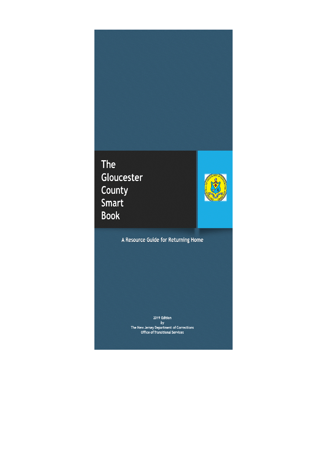## **The** Gloucester County Smart **Book**



A Resource Guide for Returning Home

2019 Edition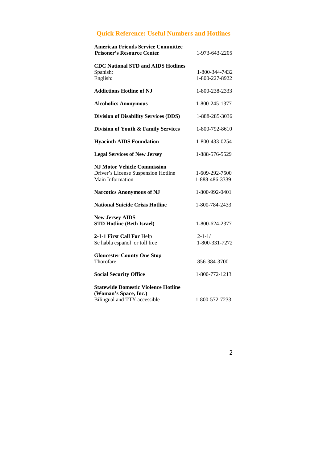## **Quick Reference: Useful Numbers and Hotlines**

| <b>American Friends Service Committee</b><br><b>Prisoner's Resource Center</b>                      | 1-973-643-2205                   |
|-----------------------------------------------------------------------------------------------------|----------------------------------|
| <b>CDC National STD and AIDS Hotlines</b><br>Spanish:<br>English:                                   | 1-800-344-7432<br>1-800-227-8922 |
| <b>Addictions Hotline of NJ</b>                                                                     | 1-800-238-2333                   |
| <b>Alcoholics Anonymous</b>                                                                         | 1-800-245-1377                   |
| <b>Division of Disability Services (DDS)</b>                                                        | 1-888-285-3036                   |
| Division of Youth & Family Services                                                                 | 1-800-792-8610                   |
| <b>Hyacinth AIDS Foundation</b>                                                                     | 1-800-433-0254                   |
| <b>Legal Services of New Jersey</b>                                                                 | 1-888-576-5529                   |
| <b>NJ Motor Vehicle Commission</b><br>Driver's License Suspension Hotline<br>Main Information       | 1-609-292-7500<br>1-888-486-3339 |
| <b>Narcotics Anonymous of NJ</b>                                                                    | 1-800-992-0401                   |
| <b>National Suicide Crisis Hotline</b>                                                              | 1-800-784-2433                   |
| <b>New Jersey AIDS</b><br><b>STD Hotline (Beth Israel)</b>                                          | 1-800-624-2377                   |
| 2-1-1 First Call For Help<br>Se habla español or toll free                                          | $2 - 1 - 1/$<br>1-800-331-7272   |
| <b>Gloucester County One Stop</b><br>Thorofare                                                      | 856-384-3700                     |
| <b>Social Security Office</b>                                                                       | 1-800-772-1213                   |
| <b>Statewide Domestic Violence Hotline</b><br>(Woman's Space, Inc.)<br>Bilingual and TTY accessible | 1-800-572-7233                   |
|                                                                                                     |                                  |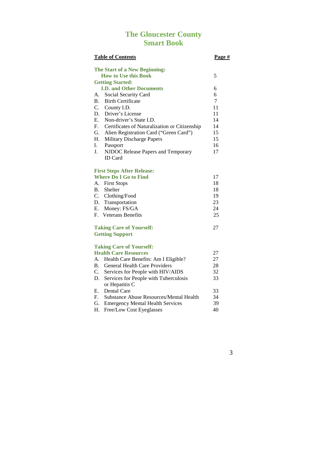## **The Gloucester County Smart Book**

|             | <b>Table of Contents</b>                      | Page # |
|-------------|-----------------------------------------------|--------|
|             | The Start of a New Beginning:                 |        |
|             | <b>How to Use this Book</b>                   | 5      |
|             | <b>Getting Started:</b>                       |        |
|             | <b>I.D. and Other Documents</b>               | 6      |
|             | A. Social Security Card                       | 6      |
|             | <b>B.</b> Birth Certificate                   | $\tau$ |
|             | C. County I.D.                                | 11     |
|             | D. Driver's License                           | 11     |
| E.          | Non-driver's State I.D.                       | 14     |
| $F_{\cdot}$ | Certificates of Naturalization or Citizenship | 14     |
| G.          | Alien Registration Card ("Green Card")        | 15     |
| Н.          | <b>Military Discharge Papers</b>              | 15     |
| L.          | Passport                                      | 16     |
| L           | NJDOC Release Papers and Temporary            | 17     |
|             | <b>ID</b> Card                                |        |
|             | <b>First Steps After Release:</b>             |        |
|             | <b>Where Do I Go to Find</b>                  | 17     |
| А.          | <b>First Stops</b>                            | 18     |
| <b>B.</b>   | Shelter                                       | 18     |
|             | C. Clothing/Food                              | 19     |
|             | D. Transportation                             | 23     |
| E.          | Money: FS/GA                                  | 24     |
| $F_{\cdot}$ | <b>Veterans Benefits</b>                      | 25     |
|             | <b>Taking Care of Yourself:</b>               | 27     |
|             | <b>Getting Support</b>                        |        |
|             | <b>Taking Care of Yourself:</b>               |        |
|             | <b>Health Care Resources</b>                  | 27     |
|             | A. Health Care Benefits: Am I Eligible?       | 27     |
| $B_{\cdot}$ | <b>General Health Care Providers</b>          | 28     |
| C.          | Services for People with HIV/AIDS             | 32     |
| D.          | Services for People with Tuberculosis         | 33     |

 or Hepatitis C E. Dental Care 33 F. Substance Abuse Resources/Mental Health 34 G. Emergency Mental Health Services 39

H. Free/Low Cost Eyeglasses 40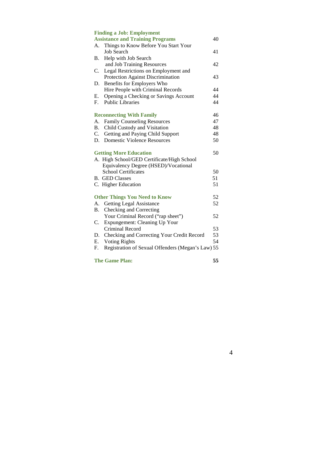|           | <b>Finding a Job: Employment</b>                  |    |
|-----------|---------------------------------------------------|----|
|           | <b>Assistance and Training Programs</b>           | 40 |
| А.        | Things to Know Before You Start Your              |    |
|           | <b>Job Search</b>                                 | 41 |
| В.        | Help with Job Search                              |    |
|           | and Job Training Resources                        | 42 |
| C.        | Legal Restrictions on Employment and              |    |
|           | Protection Against Discrimination                 | 43 |
| D.        | Benefits for Employers Who                        |    |
|           | Hire People with Criminal Records                 | 44 |
| Е.        | Opening a Checking or Savings Account             | 44 |
| F.        | <b>Public Libraries</b>                           | 44 |
|           | <b>Reconnecting With Family</b>                   | 46 |
| А.        | <b>Family Counseling Resources</b>                | 47 |
| <b>B.</b> | Child Custody and Visitation                      | 48 |
| C.        | Getting and Paying Child Support                  | 48 |
| D.        | <b>Domestic Violence Resources</b>                | 50 |
|           | <b>Getting More Education</b>                     | 50 |
|           | A. High School/GED Certificate/High School        |    |
|           | Equivalency Degree (HSED)/Vocational              |    |
|           | <b>School Certificates</b>                        | 50 |
|           | <b>B.</b> GED Classes                             | 51 |
|           | C. Higher Education                               | 51 |
|           | <b>Other Things You Need to Know</b>              | 52 |
| A.        | <b>Getting Legal Assistance</b>                   | 52 |
| В.        | Checking and Correcting                           |    |
|           | Your Criminal Record ("rap sheet")                | 52 |
| C.        | Expungement: Cleaning Up Your                     |    |
|           | Criminal Record                                   | 53 |
| D.        | Checking and Correcting Your Credit Record        | 53 |
| Ε.        | <b>Voting Rights</b>                              | 54 |
| F.        | Registration of Sexual Offenders (Megan's Law) 55 |    |
|           |                                                   |    |

**The Game Plan: 55**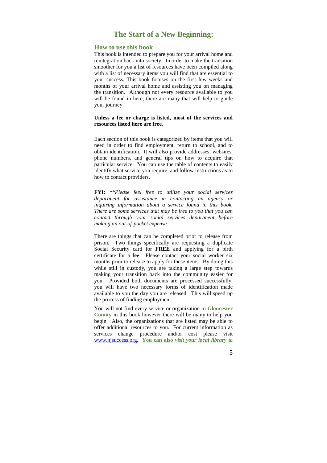## **The Start of a New Beginning:**

## **How to use this book**

This book is intended to prepare you for your arrival home and reintegration back into society. In order to make the transition smoother for you a list of resources have been compiled along with a list of necessary items you will find that are essential to your success. This book focuses on the first few weeks and months of your arrival home and assisting you on managing the transition. Although not every resource available to you will be found in here, there are many that will help to guide your journey.

## **Unless a fee or charge is listed, most of the services and resources listed here are free.**

Each section of this book is categorized by items that you will need in order to find employment, return to school, and to obtain identification. It will also provide addresses, websites, phone numbers, and general tips on how to acquire that particular service. You can use the table of contents to easily identify what service you require, and follow instructions as to how to contact providers.

**FYI:** \*\**Please feel free to utilize your social services department for assistance in contacting an agency or inquiring information about a service found in this book. There are some services that may be free to you that you can contact through your social services department before making an out-of-pocket expense.*

There are things that can be completed prior to release from prison. Two things specifically are requesting a duplicate Social Security card for **FREE** and applying for a birth certificate for a **fee**. Please contact your social worker six months prior to release to apply for these items. By doing this while still in custody, you are taking a large step towards making your transition back into the community easier for you. Provided both documents are processed successfully, you will have two necessary forms of identification made available to you the day you are released. This will speed up the process of finding employment.

You will not find every service or organization in **Gloucester County** in this book however there will be many to help you begin. Also, the organizations that are listed may be able to offer additional resources to you. For current information as services change procedure and/or cost please visit www.njsuccess.org. **You can also** *visit your local library to*

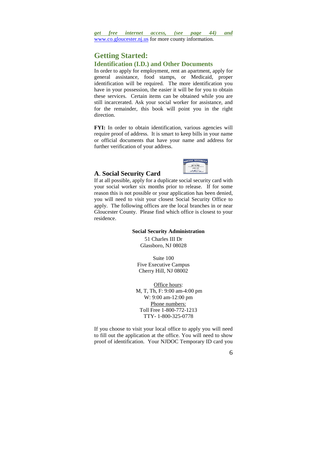## **Getting Started: Identification (I.D.) and Other Documents**

In order to apply for employment, rent an apartment, apply for general assistance, food stamps, or Medicaid, proper identification will be required. The more identification you have in your possession, the easier it will be for you to obtain these services. Certain items can be obtained while you are still incarcerated. Ask your social worker for assistance, and for the remainder, this book will point you in the right direction.

**FYI:** In order to obtain identification, various agencies will require proof of address. It is smart to keep bills in your name or official documents that have your name and address for further verification of your address.



## **A**. **Social Security Card**

If at all possible, apply for a duplicate social security card with your social worker six months prior to release. If for some reason this is not possible or your application has been denied, you will need to visit your closest Social Security Office to apply. The following offices are the local branches in or near Gloucester County. Please find which office is closest to your residence.

#### **Social Security Administration**

51 Charles III Dr Glassboro, NJ 08028

Suite 100 Five Executive Campus Cherry Hill, NJ 08002

Office hours: M, T, Th, F: 9:00 am-4:00 pm W: 9:00 am-12:00 pm Phone numbers: Toll Free 1-800-772-1213 TTY- 1-800-325-0778

If you choose to visit your local office to apply you will need to fill out the application at the office. You will need to show proof of identification. Your NJDOC Temporary ID card you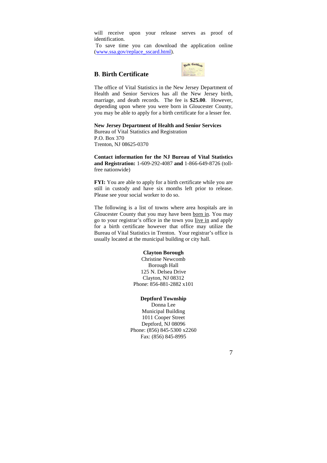will receive upon your release serves as proof of identification.

 To save time you can download the application online (www.ssa.gov/replace\_sscard.html).

## **B**. **Birth Certificate**



The office of Vital Statistics in the New Jersey Department of Health and Senior Services has all the New Jersey birth, marriage, and death records. The fee is **\$25.00**. However, depending upon where you were born in Gloucester County, you may be able to apply for a birth certificate for a lesser fee.

## **New Jersey Department of Health and Senior Services**

Bureau of Vital Statistics and Registration P.O. Box 370 Trenton, NJ 08625-0370

**Contact information for the NJ Bureau of Vital Statistics and Registration:** 1-609-292-4087 **and** 1-866-649-8726 (tollfree nationwide)

**FYI:** You are able to apply for a birth certificate while you are still in custody and have six months left prior to release. Please see your social worker to do so.

The following is a list of towns where area hospitals are in Gloucester County that you may have been born in. You may go to your registrar's office in the town you live in and apply for a birth certificate however that office may utilize the Bureau of Vital Statistics in Trenton. Your registrar's office is usually located at the municipal building or city hall.

#### **Clayton Borough**

Christine Newcomb Borough Hall 125 N. Delsea Drive Clayton, NJ 08312 Phone: 856-881-2882 x101

## **Deptford Township**

Donna Lee Municipal Building 1011 Cooper Street Deptford, NJ 08096 Phone: (856) 845-5300 x2260 Fax: (856) 845-8995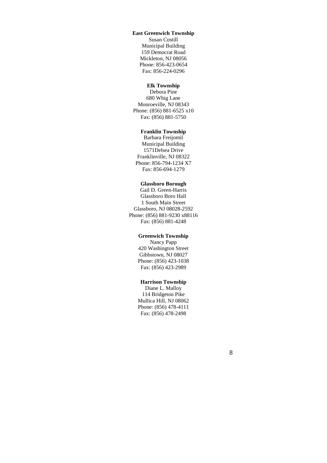## **East Greenwich Township**

Susan Costill Municipal Building 159 Democrat Road Mickleton, NJ 08056 Phone: 856-423-0654 Fax: 856-224-0296

## **Elk Township**

Debora Pine 680 Whig Lane Monroeville, NJ 08343 Phone: (856) 881-6525 x10 Fax: (856) 881-5750

## **Franklin Township**

Barbara Freijomil Municipal Building 1571Delsea Drive Franklinville, NJ 08322 Phone: 856-794-1234 X7 Fax: 856-694-1279

## **Glassboro Borough**

Gail D. Green-Harris Glassboro Boro Hall 1 South Main Street Glassboro, NJ 08028-2592 Phone: (856) 881-9230 x88116 Fax: (856) 881-4248

## **Greenwich Township**

Nancy Papp 420 Washington Street Gibbstown, NJ 08027 Phone: (856) 423-1038 Fax: (856) 423-2989

## **Harrison Township**

Diane L. Malloy 114 Bridgeton Pike Mullica Hill, NJ 08062 Phone: (856) 478-4111 Fax: (856) 478-2498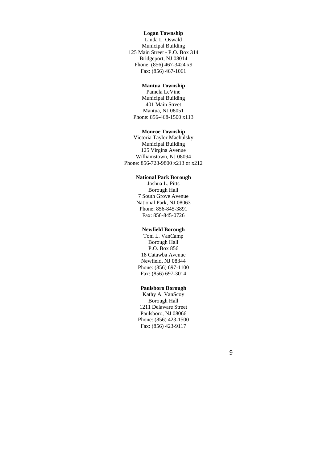## **Logan Township**

Linda L. Oswald Municipal Building 125 Main Street - P.O. Box 314 Bridgeport, NJ 08014 Phone: (856) 467-3424 x9 Fax: (856) 467-1061

## **Mantua Township**

Pamela LeVine Municipal Building 401 Main Street Mantua, NJ 08051 Phone: 856-468-1500 x113

## **Monroe Township**

Victoria Taylor Machulsky Municipal Building 125 Virgina Avenue Williamstown, NJ 08094 Phone: 856-728-9800 x213 or x212

## **National Park Borough**

Joshua L. Pitts Borough Hall 7 South Grove Avenue National Park, NJ 08063 Phone: 856-845-3891 Fax: 856-845-0726

#### **Newfield Borough**

Toni L. VanCamp Borough Hall P.O. Box 856 18 Catawba Avenue Newfield, NJ 08344 Phone: (856) 697-1100 Fax: (856) 697-3014

## **Paulsboro Borough**

Kathy A. VanScoy Borough Hall 1211 Delaware Street Paulsboro, NJ 08066 Phone: (856) 423-1500 Fax: (856) 423-9117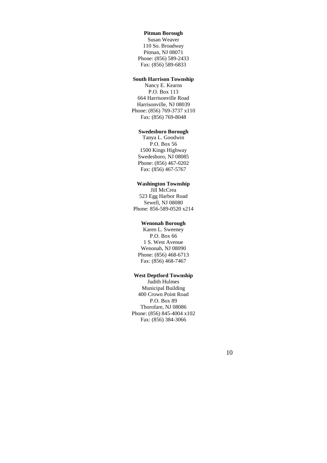## **Pitman Borough**

Susan Weaver 110 So. Broadway Pitman, NJ 08071 Phone: (856) 589-2433 Fax: (856) 589-6833

## **South Harrison Township**

Nancy E. Kearns P.O. Box 113 664 Harrisonville Road Harrisonville, NJ 08039 Phone: (856) 769-3737 x110 Fax: (856) 769-8048

## **Swedesboro Borough**

Tanya L. Goodwin P.O. Box 56 1500 Kings Highway Swedesboro, NJ 08085 Phone: (856) 467-0202 Fax: (856) 467-5767

## **Washington Township**

Jill McCrea 523 Egg Harbor Road Sewell, NJ 08080 Phone: 856-589-0520 x214

## **Wenonah Borough**

Karen L. Sweeney P.O. Box 66 1 S. West Avenue Wenonah, NJ 08090 Phone: (856) 468-6713 Fax: (856) 468-7467

## **West Deptford Township**

Judith Hulmes Municipal Building 400 Crown Point Road P.O. Box 89 Thorofare, NJ 08086 Phone: (856) 845-4004 x102 Fax: (856) 384-3066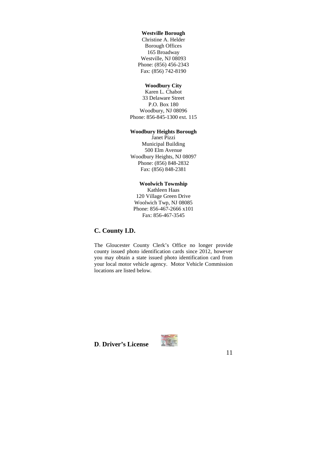## **Westville Borough**

Christine A. Helder Borough Offices 165 Broadway Westville, NJ 08093 Phone: (856) 456-2343 Fax: (856) 742-8190

## **Woodbury City**

Karen L. Chabot 33 Delaware Street P.O. Box 180 Woodbury, NJ 08096 Phone: 856-845-1300 ext. 115

## **Woodbury Heights Borough**

Janet Pizzi Municipal Building 500 Elm Avenue Woodbury Heights, NJ 08097 Phone: (856) 848-2832 Fax: (856) 848-2381

## **Woolwich Township**

Kathleen Haas 120 Village Green Drive Woolwich Twp, NJ 08085 Phone: 856-467-2666 x101 Fax: 856-467-3545

## **C. County I.D.**

The Gloucester County Clerk's Office no longer provide county issued photo identification cards since 2012, however you may obtain a state issued photo identification card from your local motor vehicle agency. Motor Vehicle Commission locations are listed below.

**D**. **Driver's License** 

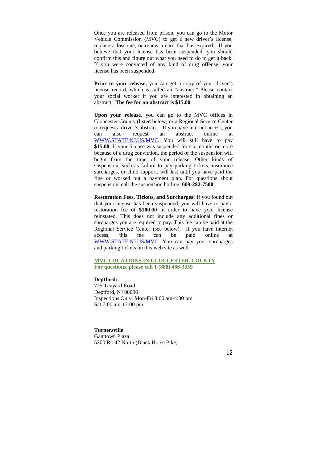Once you are released from prison, you can go to the Motor Vehicle Commission (MVC) to get a new driver's license, replace a lost one, or renew a card that has expired. If you believe that your license has been suspended, you should confirm this and figure out what you need to do to get it back. If you were convicted of any kind of drug offense, your license has been suspended.

Prior to your release, you can get a copy of your driver's license record, which is called an "abstract." Please contact your social worker if you are interested in obtaining an abstract. **The fee for an abstract is \$15.00** 

**Upon your release**, you can go to the MVC offices in Gloucester County (listed below) or a Regional Service Center to request a driver's abstract. If you have internet access, you can also request an abstract online at WWW.STATE.NJ.US/MVC. You will still have to pay **\$15.00**. If your license was suspended for six months or more because of a drug conviction, the period of the suspension will begin from the time of your release. Other kinds of suspension, such as failure to pay parking tickets, insurance surcharges, or child support, will last until you have paid the fine or worked out a payment plan. For questions about suspension, call the suspension hotline: **609-292-7500**.

**Restoration Fees, Tickets, and Surcharges:** If you found out that your license has been suspended, you will have to pay a restoration fee of **\$100.00** in order to have your license reinstated. This does not include any additional fines or surcharges you are required to pay. This fee can be paid at the Regional Service Center (see below). If you have internet access, this fee can be paid online at WWW.STATE.NJ.US/MVC. You can pay your surcharges and parking tickets on this web site as well.

## **MVC LOCATIONS IN GLOUCESTER COUNTY For questions, please call 1 (888) 486-3339**

#### **Deptford:**

725 Tanyard Road Deptford, NJ 08096 Inspections Only: Mon-Fri 8:00 am-4:30 pm Sat 7:00 am-12:00 pm

## **Turnersville**

Ganttown Plaza 5200 Rt. 42 North (Black Horse Pike)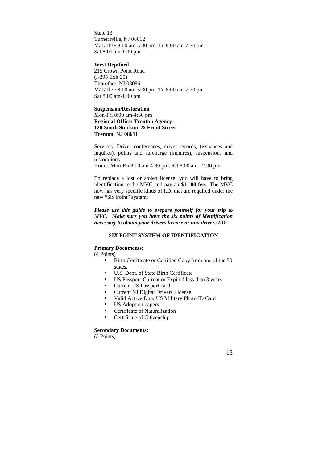Suite 13 Turnersville, NJ 08012 M/T/Th/F 8:00 am-5:30 pm; Tu 8:00 am-7:30 pm Sat 8:00 am-1:00 pm

## **West Deptford**

215 Crown Point Road (I-295 Exit 20) Thorofare, NJ 08086 M/T/Th/F 8:00 am-5:30 pm; Tu 8:00 am-7:30 pm Sat 8:00 am-1:00 pm

## **Suspension/Restoration**  Mon-Fri 8:00 am-4:30 pm **Regional Office: Trenton Agency 120 South Stockton & Front Street Trenton, NJ 08611**

Services: Driver conferences, driver records, (issuances and inquires), points and surcharge (inquires), suspensions and restorations.

Hours: Mon-Fri 8:00 am-4:30 pm; Sat 8:00 am-12:00 pm

To replace a lost or stolen license, you will have to bring identification to the MVC and pay an **\$11.00 fee.** The MVC now has very specific kinds of I.D. that are required under the new "Six Point" system:

*Please use this guide to prepare yourself for your trip to MVC. Make sure you have the six points of identification necessary to obtain your drivers license or non drivers I.D.* 

## **SIX POINT SYSTEM OF IDENTIFICATION**

## **Primary Documents:**

(4 Points)

- Birth Certificate or Certified Copy from one of the 50 states.
- U.S. Dept. of State Birth Certificate
- US Passport-Current or Expired less than 3 years
- Current US Passport card
- **Current NJ Digital Drivers License**
- Valid Active Duty US Military Photo ID Card<br>IS Adoption papers
- US Adoption papers
- Certificate of Naturalization
- **Certificate of Citizenship**

## **Secondary Documents:**

(3 Points)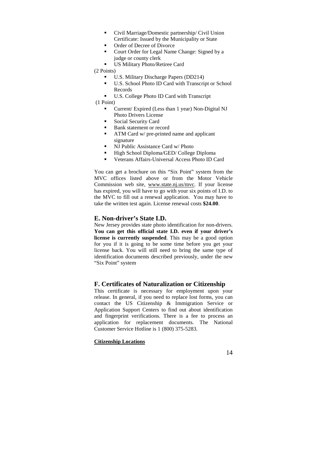- Civil Marriage/Domestic partnership/ Civil Union Certificate: Issued by the Municipality or State
- Order of Decree of Divorce
- Court Order for Legal Name Change: Signed by a judge or county clerk
- US Military Photo/Retiree Card

(2 Points)

- U.S. Military Discharge Papers (DD214)
- U.S. School Photo ID Card with Transcript or School Records
- U.S. College Photo ID Card with Transcript

(1 Point)

- Current/ Expired (Less than 1 year) Non-Digital NJ Photo Drivers License
- **Social Security Card**
- Bank statement or record
- **ATM Card w/ pre-printed name and applicant** signature
- NJ Public Assistance Card w/ Photo
- High School Diploma/GED/ College Diploma
- Veterans Affairs-Universal Access Photo ID Card

You can get a brochure on this "Six Point" system from the MVC offices listed above or from the Motor Vehicle Commission web site, www.state.nj.us/mvc. If your license has expired, you will have to go with your six points of I.D. to the MVC to fill out a renewal application. You may have to take the written test again. License renewal costs **\$24.00**.

## **E. Non-driver's State I.D.**

New Jersey provides state photo identification for non-drivers. **You can get this official state I.D. even if your driver's license is currently suspended**. This may be a good option for you if it is going to be some time before you get your license back. You will still need to bring the same type of identification documents described previously, under the new "Six Point" system

## **F. Certificates of Naturalization or Citizenship**

This certificate is necessary for employment upon your release. In general, if you need to replace lost forms, you can contact the US Citizenship & Immigration Service or Application Support Centers to find out about identification and fingerprint verifications. There is a fee to process an application for replacement documents. The National Customer Service Hotline is 1 (800) 375-5283.

## **Citizenship Locations**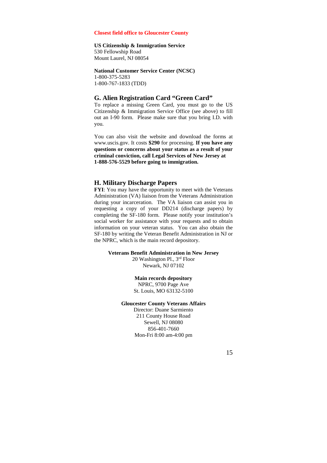## **Closest field office to Gloucester County**

#### **US Citizenship & Immigration Service**

530 Fellowship Road Mount Laurel, NJ 08054

#### **National Customer Service Center (NCSC)**

1-800-375-5283 1-800-767-1833 (TDD)

## **G. Alien Registration Card "Green Card"**

To replace a missing Green Card, you must go to the US Citizenship & Immigration Service Office (see above) to fill out an I-90 form. Please make sure that you bring I.D. with you.

You can also visit the website and download the forms at www.uscis.gov. It costs **\$290** for processing. **If you have any questions or concerns about your status as a result of your criminal conviction, call Legal Services of New Jersey at 1-888-576-5529 before going to immigration.**

## **H. Military Discharge Papers**

**FYI**: You may have the opportunity to meet with the Veterans Administration (VA) liaison from the Veterans Administration during your incarceration. The VA liaison can assist you in requesting a copy of your DD214 (discharge papers) by completing the SF-180 form. Please notify your institution's social worker for assistance with your requests and to obtain information on your veteran status. You can also obtain the SF-180 by writing the Veteran Benefit Administration in NJ or the NPRC, which is the main record depository.

#### **Veterans Benefit Administration in New Jersey**

20 Washington Pl., 3rd Floor Newark, NJ 07102

#### **Main records depository**

NPRC, 9700 Page Ave St. Louis, MO 63132-5100

#### **Gloucester County Veterans Affairs**

Director: Duane Sarmiento 211 County House Road Sewell, NJ 08080 856-401-7660 Mon-Fri 8:00 am-4:00 pm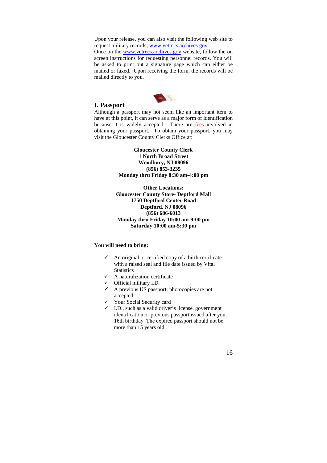Upon your release, you can also visit the following web site to request military records; www.vetrecs.archives.gov

Once on the www.vetrecs.archives.gov website, follow the on screen instructions for requesting personnel records. You will be asked to print out a signature page which can either be mailed or faxed. Upon receiving the form, the records will be mailed directly to you.



## **I. Passport**

Although a passport may not seem like an important item to have at this point, it can serve as a major form of identification because it is widely accepted. There are fees involved in obtaining your passport. To obtain your passport, you may visit the Gloucester County Clerks Office at:

> **Gloucester County Clerk 1 North Broad Street Woodbury, NJ 08096 (856) 853-3235**

**Monday thru Friday 8:30 am-4:00 pm** 

**Other Locations: Gloucester County Store- Deptford Mall 1750 Deptford Center Road Deptford, NJ 08096 (856) 686-6013 Monday thru Friday 10:00 am-9:00 pm Saturday 10:00 am-5:30 pm**

## **You will need to bring:**

- $\checkmark$  An original or certified copy of a birth certificate with a raised seal and file date issued by Vital **Statistics**
- $\checkmark$  A naturalization certificate
- Official military I.D.
- A previous US passport; photocopies are not accepted.
- Your Social Security card
- $\checkmark$  I.D., such as a valid driver's license, government identification or previous passport issued after your 16th birthday. The expired passport should not be more than 15 years old.

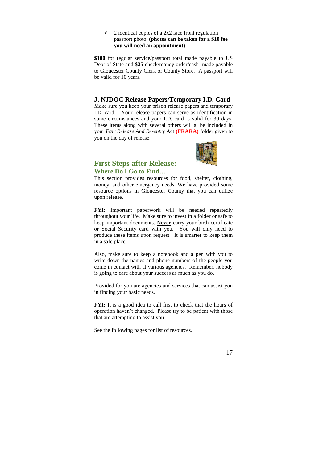#### $\checkmark$  2 identical copies of a 2x2 face front regulation passport photo. **(photos can be taken for a \$10 fee you will need an appointment)**

**\$100** for regular service/passport total made payable to US Dept of State and **\$25** check/money order/cash made payable to Gloucester County Clerk or County Store. A passport will be valid for 10 years.

## **J. NJDOC Release Papers/Temporary I.D. Card**

Make sure you keep your prison release papers and temporary I.D. card. Your release papers can serve as identification in some circumstances and your I.D. card is valid for 30 days. These items along with several others will al be included in your *Fair Release And Re-entry* Act **(FRARA)** folder given to you on the day of release.



## **First Steps after Release: Where Do I Go to Find…**

This section provides resources for food, shelter, clothing, money, and other emergency needs. We have provided some resource options in Gloucester County that you can utilize upon release.

**FYI:** Important paperwork will be needed repeatedly throughout your life. Make sure to invest in a folder or safe to keep important documents. **Never** carry your birth certificate or Social Security card with you. You will only need to produce these items upon request. It is smarter to keep them in a safe place.

Also, make sure to keep a notebook and a pen with you to write down the names and phone numbers of the people you come in contact with at various agencies. Remember, nobody is going to care about your success as much as you do.

Provided for you are agencies and services that can assist you in finding your basic needs.

**FYI:** It is a good idea to call first to check that the hours of operation haven't changed. Please try to be patient with those that are attempting to assist you.

See the following pages for list of resources.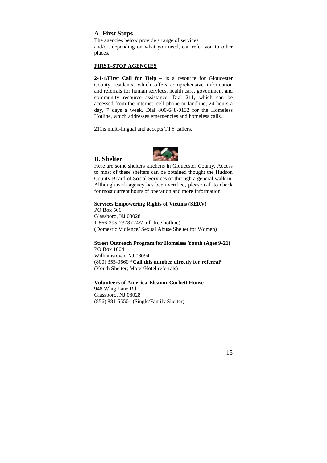## **A. First Stops**

**B. Shelter** 

The agencies below provide a range of services and/or, depending on what you need, can refer you to other places.

## **FIRST-STOP AGENCIES**

**2-1-1/First Call for Help –** is a resource for Gloucester County residents, which offers comprehensive information and referrals for human services, health care, government and community resource assistance. Dial 211, which can be accessed from the internet, cell phone or landline, 24 hours a day, 7 days a week. Dial 800-648-0132 for the Homeless Hotline, which addresses emergencies and homeless calls.

211is multi-lingual and accepts TTY callers.

Here are some shelters kitchens in Gloucester County. Access to most of these shelters can be obtained thought the Hudson County Board of Social Services or through a general walk in. Although each agency has been verified, please call to check for most current hours of operation and more information.

## **Services Empowering Rights of Victims (SERV)**

PO Box 566 Glassboro, NJ 08028 1-866-295-7378 (24/7 toll-free hotline) (Domestic Violence/ Sexual Abuse Shelter for Women)

#### **Street Outreach Program for Homeless Youth (Ages 9-21)** PO Box 1004

Williamstown, NJ 08094 (800) 355-0660 \***Call this number directly for referral\*** (Youth Shelter; Motel/Hotel referrals)

## **Volunteers of America-Eleanor Corbett House**

948 Whig Lane Rd Glassboro, NJ 08028 (856) 881-5550 (Single/Family Shelter)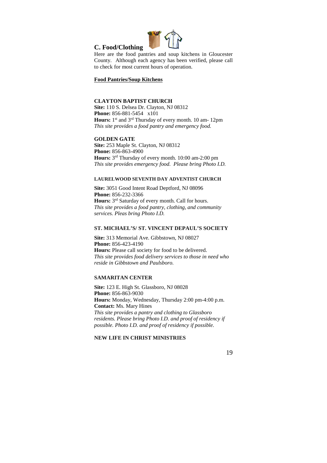

Here are the food pantries and soup kitchens in Gloucester County. Although each agency has been verified, please call to check for most current hours of operation.

## **Food Pantries/Soup Kitchens**

**C. Food/Clothing** 

## **CLAYTON BAPTIST CHURCH**

**Site:** 110 S. Delsea Dr. Clayton, NJ 08312 **Phone:** 856-881-5454 x101 Hours: 1<sup>st</sup> and 3<sup>rd</sup> Thursday of every month. 10 am- 12pm *This site provides a food pantry and emergency food.* 

#### **GOLDEN GATE**

**Site:** 253 Maple St. Clayton, NJ 08312 **Phone:** 856-863-4900 **Hours:** 3 rd Thursday of every month. 10:00 am-2:00 pm *This site provides emergency food. Please bring Photo I.D.* 

## **LAURELWOOD SEVENTH DAY ADVENTIST CHURCH**

**Site:** 3051 Good Intent Road Deptford, NJ 08096 **Phone:** 856-232-3366 Hours: 3<sup>rd</sup> Saturday of every month. Call for hours. *This site provides a food pantry, clothing, and community services. Pleas bring Photo I.D.* 

## **ST. MICHAEL'S/ ST. VINCENT DEPAUL'S SOCIETY**

**Site:** 313 Memorial Ave. Gibbstown, NJ 08027 **Phone:** 856-423-4190 **Hours:** Please call society for food to be delivered. *This site provides food delivery services to those in need who reside in Gibbstown and Paulsboro.*

## **SAMARITAN CENTER**

**Site:** 123 E. High St. Glassboro, NJ 08028 **Phone:** 856-863-9030 **Hours:** Monday, Wednesday, Thursday 2:00 pm-4:00 p.m. **Contact:** Ms. Mary Hines *This site provides a pantry and clothing to Glassboro residents. Please bring Photo I.D. and proof of residency if possible. Photo I.D. and proof of residency if possible.* 

## **NEW LIFE IN CHRIST MINISTRIES**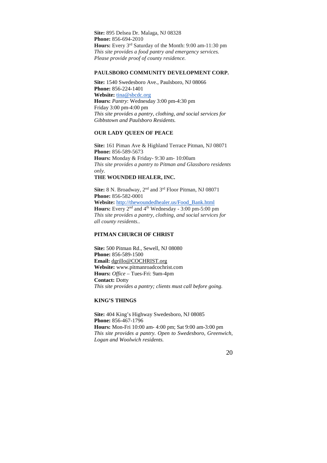**Site:** 895 Delsea Dr. Malaga, NJ 08328 **Phone:** 856-694-2010 **Hours:** Every 3rd Saturday of the Month: 9:00 am-11:30 pm *This site provides a food pantry and emergency services. Please provide proof of county residence.*

## **PAULSBORO COMMUNITY DEVELOPMENT CORP.**

**Site:** 1540 Swedesboro Ave., Paulsboro, NJ 08066 **Phone:** 856-224-1401 **Website:** tina@sbcdc.org **Hours:** *Pantry*: Wednesday 3:00 pm-4:30 pm Friday 3:00 pm-4:00 pm *This site provides a pantry, clothing, and social services for Gibbstown and Paulsboro Residents.*

## **OUR LADY QUEEN OF PEACE**

**Site:** 161 Piman Ave & Highland Terrace Pitman, NJ 08071 **Phone:** 856-589-5673 **Hours:** Monday & Friday- 9:30 am- 10:00am *This site provides a pantry to Pitman and Glassboro residents only.* 

**THE WOUNDED HEALER, INC.** 

Site: 8 N. Broadway, 2<sup>nd</sup> and 3<sup>rd</sup> Floor Pitman, NJ 08071 **Phone:** 856-582-0001 **Website:** http://thewoundedhealer.us/Food\_Bank.html Hours: Every 2<sup>nd</sup> and 4<sup>th</sup> Wednesday - 3:00 pm-5:00 pm *This site provides a pantry, clothing, and social services for all county residents..* 

## **PITMAN CHURCH OF CHRIST**

**Site:** 500 Pitman Rd., Sewell, NJ 08080 **Phone:** 856-589-1500 **Email:** dgrillo@COCHRIST.org **Website:** www.pitmanroadcochrist.com **Hours:** *Office* – Tues-Fri: 9am-4pm **Contact:** Dotty *This site provides a pantry; clients must call before going.* 

## **KING'S THINGS**

**Site:** 404 King's Highway Swedesboro, NJ 08085 **Phone:** 856-467-1796 **Hours:** Mon-Fri 10:00 am- 4:00 pm; Sat 9:00 am-3:00 pm *This site provides a pantry. Open to Swedesboro, Greenwich, Logan and Woolwich residents.*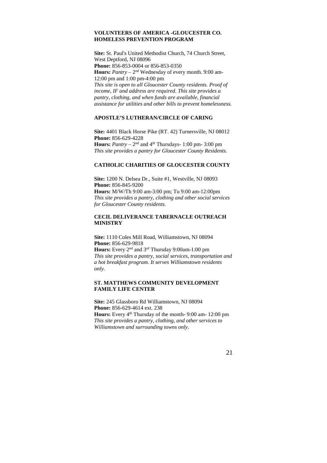## **VOLUNTEERS OF AMERICA -GLOUCESTER CO. HOMELESS PREVENTION PROGRAM**

**Site:** St. Paul's United Methodist Church, 74 Church Street, West Deptford, NJ 08096 **Phone:** 856-853-0004 or 856-853-0350 **Hours:** *Pantry* – 2<sup>nd</sup> Wednesday of every month. 9:00 am-12:00 pm and 1:00 pm-4:00 pm *This site is open to all Gloucester County residents. Proof of income, IF and address are required*. *This site provides a pantry, clothing, and when funds are available, financial assistance for utilities and other bills to prevent homelessness.* 

## **APOSTLE'S LUTHERAN/CIRCLE OF CARING**

**Site:** 4401 Black Horse Pike (RT. 42) Turnersville, NJ 08012 **Phone:** 856-629-4228 **Hours:** *Pantry* –  $2<sup>nd</sup>$  and  $4<sup>th</sup>$  Thursdays- 1:00 pm- 3:00 pm *This site provides a pantry for Gloucester County Residents.* 

## **CATHOLIC CHARITIES OF GLOUCESTER COUNTY**

**Site:** 1200 N. Delsea Dr., Suite #1, Westville, NJ 08093 **Phone:** 856-845-9200 **Hours:** M/W/Th 9:00 am-3:00 pm; Tu 9:00 am-12:00pm *This site provides a pantry, clothing and other social services for Gloucester County residents.* 

## **CECIL DELIVERANCE TABERNACLE OUTREACH MINISTRY**

**Site:** 1110 Coles Mill Road, Williamstown, NJ 08094 **Phone:** 856-629-9818 **Hours:** Every 2nd and 3rd Thursday 9:00am-1:00 pm *This site provides a pantry, social services, transportation and a hot breakfast program. It serves Williamstown residents only.*

## **ST. MATTHEWS COMMUNITY DEVELOPMENT FAMILY LIFE CENTER**

**Site:** 245 Glassboro Rd Williamstown, NJ 08094 **Phone:** 856-629-4614 ext. 238 **Hours:** Every 4<sup>th</sup> Thursday of the month- 9:00 am- 12:00 pm *This site provides a pantry, clothing, and other services to Williamstown and surrounding towns only.*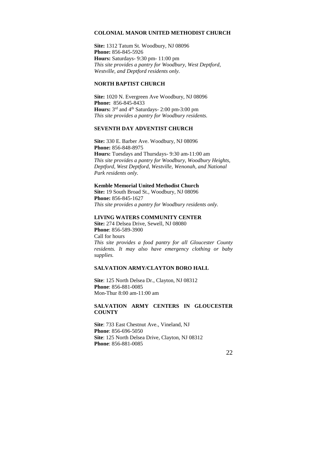## **COLONIAL MANOR UNITED METHODIST CHURCH**

**Site:** 1312 Tatum St. Woodbury, NJ 08096 **Phone:** 856-845-5926 **Hours:** Saturdays- 9:30 pm- 11:00 pm *This site provides a pantry for Woodbury, West Deptford, Westville, and Deptford residents only.* 

## **NORTH BAPTIST CHURCH**

**Site:** 1020 N. Evergreen Ave Woodbury, NJ 08096 **Phone:** 856-845-8433 Hours: 3<sup>rd</sup> and 4<sup>th</sup> Saturdays- 2:00 pm-3:00 pm *This site provides a pantry for Woodbury residents.*

## **SEVENTH DAY ADVENTIST CHURCH**

**Site:** 330 E. Barber Ave. Woodbury, NJ 08096 **Phone:** 856-848-8975 **Hours:** Tuesdays and Thursdays- 9:30 am-11:00 am *This site provides a pantry for Woodbury, Woodbury Heights, Deptford, West Deptford, Westville, Wenonah, and National Park residents only.* 

## **Kemble Memorial United Methodist Church**

**Site:** 19 South Broad St., Woodbury, NJ 08096 **Phone:** 856-845-1627 *This site provides a pantry for Woodbury residents only.* 

#### **LIVING WATERS COMMUNITY CENTER**

**Site:** 274 Delsea Drive, Sewell, NJ 08080 **Phone**: 856-589-3900 Call for hours *This site provides a food pantry for all Gloucester County residents. It may also have emergency clothing or baby supplies.* 

## **SALVATION ARMY/CLAYTON BORO HALL**

**Site**: 125 North Delsea Dr., Clayton, NJ 08312 **Phone**: 856-881-0085 Mon-Thur 8:00 am-11:00 am

## **SALVATION ARMY CENTERS IN GLOUCESTER COUNTY**

**Site**: 733 East Chestnut Ave., Vineland, NJ **Phone**: 856-696-5050 **Site**: 125 North Delsea Drive, Clayton, NJ 08312 **Phone**: 856-881-0085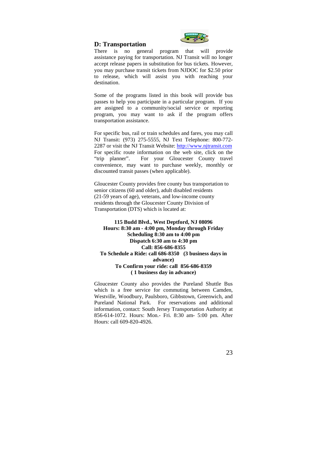## **D: Transportation**



There is no general program that will provide assistance paying for transportation. NJ Transit will no longer accept release papers in substitution for bus tickets. However, you may purchase transit tickets from NJDOC for \$2.50 prior to release, which will assist you with reaching your destination.

Some of the programs listed in this book will provide bus passes to help you participate in a particular program. If you are assigned to a community/social service or reporting program, you may want to ask if the program offers transportation assistance.

For specific bus, rail or train schedules and fares, you may call NJ Transit: (973) 275-5555, NJ Text Telephone: 800-772- 2287 or visit the NJ Transit Website: http://www.njtransit.com For specific route information on the web site, click on the "trip planner". For your Gloucester County travel convenience, may want to purchase weekly, monthly or discounted transit passes (when applicable).

Gloucester County provides free county bus transportation to senior citizens (60 and older), adult disabled residents (21-59 years of age), veterans, and low-income county residents through the Gloucester County Division of Transportation (DTS) which is located at:

## **115 Budd Blvd., West Deptford, NJ 08096 Hours: 8:30 am - 4:00 pm, Monday through Friday Scheduling 8:30 am to 4:00 pm Dispatch 6:30 am to 4:30 pm Call: 856-686-8355 To Schedule a Ride: call 686-8350 (3 business days in advance) To Confirm your ride: call 856-686-8359 ( 1 business day in advance)**

Gloucester County also provides the Pureland Shuttle Bus which is a free service for commuting between Camden, Westville, Woodbury, Paulsboro, Gibbstown, Greenwich, and Pureland National Park. For reservations and additional information, contact: South Jersey Transportation Authority at 856-614-1072. Hours: Mon.- Fri. 8:30 am- 5:00 pm. After Hours: call 609-820-4926.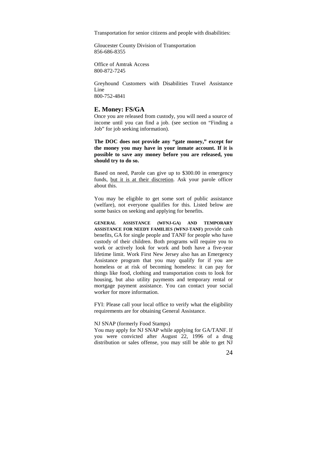Transportation for senior citizens and people with disabilities:

Gloucester County Division of Transportation 856-686-8355

Office of Amtrak Access 800-872-7245

Greyhound Customers with Disabilities Travel Assistance Line 800-752-4841

#### **E. Money: FS/GA**

Once you are released from custody, you will need a source of income until you can find a job. (see section on "Finding a Job" for job seeking information).

**The DOC does not provide any "gate money," except for the money you may have in your inmate account. If it is possible to save any money before you are released, you should try to do so.** 

Based on need, Parole can give up to \$300.00 in emergency funds, but it is at their discretion. Ask your parole officer about this.

You may be eligible to get some sort of public assistance (welfare), not everyone qualifies for this. Listed below are some basics on seeking and applying for benefits.

**GENERAL ASSISTANCE (WFNJ-GA) AND TEMPORARY ASSISTANCE FOR NEEDY FAMILIES (WFNJ-TANF)** provide cash benefits, GA for single people and TANF for people who have custody of their children. Both programs will require you to work or actively look for work and both have a five-year lifetime limit. Work First New Jersey also has an Emergency Assistance program that you may qualify for if you are homeless or at risk of becoming homeless: it can pay for things like food, clothing and transportation costs to look for housing, but also utility payments and temporary rental or mortgage payment assistance. You can contact your social worker for more information.

FYI: Please call your local office to verify what the eligibility requirements are for obtaining General Assistance.

#### NJ SNAP (formerly Food Stamps)

You may apply for NJ SNAP while applying for GA/TANF. If you were convicted after August 22, 1996 of a drug distribution or sales offense, you may still be able to get NJ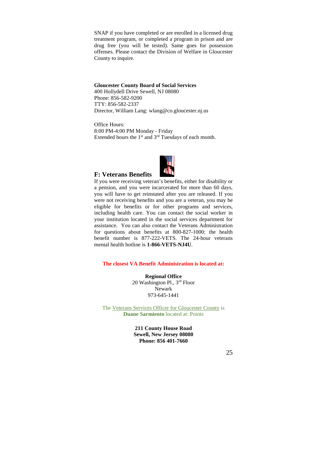SNAP if you have completed or are enrolled in a licensed drug treatment program, or completed a program in prison and are drug free (you will be tested). Same goes for possession offenses. Please contact the Division of Welfare in Gloucester County to inquire.

#### **Gloucester County Board of Social Services**

400 Hollydell Drive Sewell, NJ 08080 Phone: 856-582-9200 TTY: 856-582-2337 Director, William Lang: wlang@co.gloucester.nj.us

Office Hours: 8:00 PM-4:00 PM Monday - Friday Extended hours the  $1<sup>st</sup>$  and  $3<sup>rd</sup>$  Tuesdays of each month.



## **F: Veterans Benefits**

If you were receiving veteran's benefits, either for disability or a pension, and you were incarcerated for more than 60 days, you will have to get reinstated after you are released. If you were not receiving benefits and you are a veteran, you may be eligible for benefits or for other programs and services, including health care. You can contact the social worker in your institution located in the social services department for assistance. You can also contact the Veterans Administration for questions about benefits at 800-827-1000; the health benefit number is 877-222-VETS. The 24-hour veterans mental health hotline is **1-866-VETS-NJ4U**.

## **The closest VA Benefit Administration is located at:**

**Regional Office**  20 Washington Pl., 3rd Floor Newark 973-645-1441

The Veterans Services Officer for Gloucester County is **Duane Sarmiento** located at: Points

> **211 County House Road Sewell, New Jersey 08080 Phone: 856 401-7660**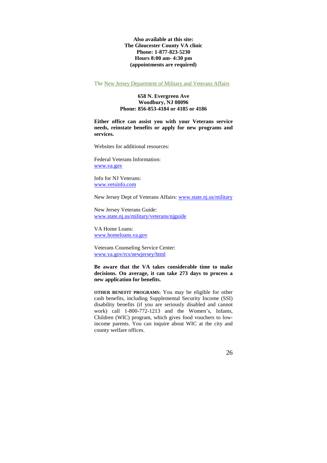**Also available at this site: The Gloucester County VA clinic Phone: 1-877-823-5230 Hours 8:00 am- 4:30 pm (appointments are required)** 

The New Jersey Department of Military and Veterans Affairs

## **658 N. Evergreen Ave Woodbury, NJ 08096 Phone: 856-853-4184 or 4185 or 4186**

**Either office can assist you with your Veterans service needs, reinstate benefits or apply for new programs and services.**

Websites for additional resources:

Federal Veterans Information: www.va.gov

Info for NJ Veterans: www.vetsinfo.com

New Jersey Dept of Veterans Affairs: www.state.nj.us/military

New Jersey Veterans Guide: www.state.nj.us/military/veterans/njguide

VA Home Loans: www.homeloans.va.gov

Veterans Counseling Service Center: www.va.gov/rcs/newjersey/html

**Be aware that the VA takes considerable time to make decisions. On average, it can take 273 days to process a new application for benefits.**

**OTHER BENEFIT PROGRAMS:** You may be eligible for other cash benefits, including Supplemental Security Income (SSI) disability benefits (if you are seriously disabled and cannot work) call 1-800-772-1213 and the Women's, Infants, Children (WIC) program, which gives food vouchers to lowincome parents. You can inquire about WIC at the city and county welfare offices.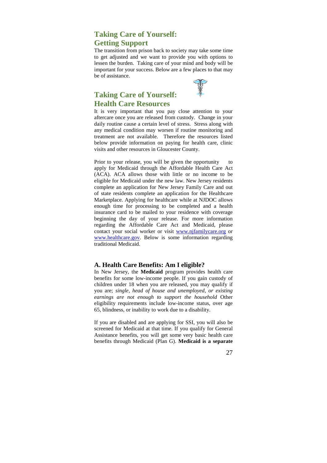## **Taking Care of Yourself: Getting Support**

The transition from prison back to society may take some time to get adjusted and we want to provide you with options to lessen the burden. Taking care of your mind and body will be important for your success. Below are a few places to that may be of assistance.



## **Taking Care of Yourself: Health Care Resources**

It is very important that you pay close attention to your aftercare once you are released from custody. Change in your daily routine cause a certain level of stress. Stress along with any medical condition may worsen if routine monitoring and treatment are not available. Therefore the resources listed below provide information on paying for health care, clinic visits and other resources in Gloucester County.

Prior to your release, you will be given the opportunity to apply for Medicaid through the Affordable Health Care Act (ACA). ACA allows those with little or no income to be eligible for Medicaid under the new law. New Jersey residents complete an application for New Jersey Family Care and out of state residents complete an application for the Healthcare Marketplace. Applying for healthcare while at NJDOC allows enough time for processing to be completed and a health insurance card to be mailed to your residence with coverage beginning the day of your release. For more information regarding the Affordable Care Act and Medicaid, please contact your social worker or visit www.njfamilycare.org or www.healthcare.gov. Below is some information regarding traditional Medicaid.

## **A. Health Care Benefits: Am I eligible?**

In New Jersey, the **Medicaid** program provides health care benefits for some low-income people. If you gain custody of children under 18 when you are released, you may qualify if you are; *single, head of house and unemployed, or existing earnings are not enough to support the household* Other eligibility requirements include low-income status, over age 65, blindness, or inability to work due to a disability.

If you are disabled and are applying for SSI, you will also be screened for Medicaid at that time. If you qualify for General Assistance benefits, you will get some very basic health care benefits through Medicaid (Plan G). **Medicaid is a separate** 

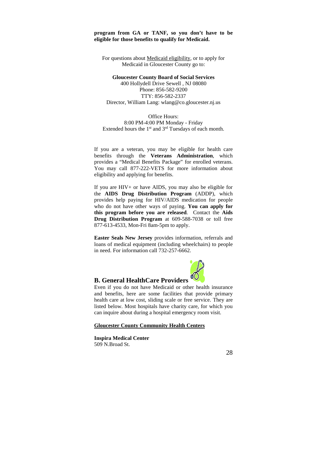## **program from GA or TANF, so you don't have to be eligible for those benefits to qualify for Medicaid.**

For questions about Medicaid eligibility, or to apply for Medicaid in Gloucester County go to:

## **Gloucester County Board of Social Services**

400 Hollydell Drive Sewell , NJ 08080 Phone: 856-582-9200 TTY: 856-582-2337 Director, William Lang: wlang@co.gloucester.nj.us

Office Hours: 8:00 PM-4:00 PM Monday - Friday Extended hours the  $1<sup>st</sup>$  and  $3<sup>rd</sup>$  Tuesdays of each month.

If you are a veteran, you may be eligible for health care benefits through the **Veterans Administration**, which provides a "Medical Benefits Package" for enrolled veterans. You may call 877-222-VETS for more information about eligibility and applying for benefits.

If you are HIV+ or have AIDS, you may also be eligible for the **AIDS Drug Distribution Program** (ADDP), which provides help paying for HIV/AIDS medication for people who do not have other ways of paying. **You can apply for this program before you are released**. Contact the **Aids Drug Distribution Program** at 609-588-7038 or toll free 877-613-4533, Mon-Fri 8am-5pm to apply.

**Easter Seals New Jersey** provides information, referrals and loans of medical equipment (including wheelchairs) to people in need. For information call 732-257-6662.



## **B. General HealthCare Providers**

Even if you do not have Medicaid or other health insurance and benefits, here are some facilities that provide primary health care at low cost, sliding scale or free service. They are listed below. Most hospitals have charity care, for which you can inquire about during a hospital emergency room visit.

#### **Gloucester County Community Health Centers**

**Inspira Medical Center**  509 N.Broad St.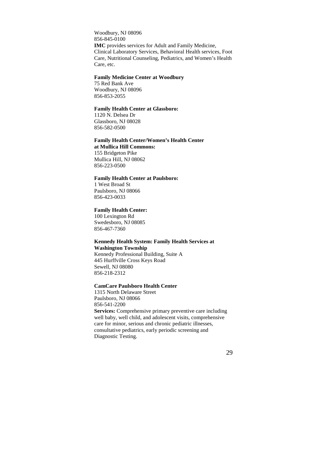Woodbury, NJ 08096 856-845-0100 **IMC** provides services for Adult and Family Medicine, Clinical Laboratory Services, Behavioral Health services, Foot Care, Nutritional Counseling, Pediatrics, and Women's Health Care, etc.

## **Family Medicine Center at Woodbury**

75 Red Bank Ave Woodbury, NJ 08096 856-853-2055

## **Family Health Center at Glassboro:**

1120 N. Delsea Dr Glassboro, NJ 08028 856-582-0500

#### **Family Health Center/Women's Health Center at Mullica Hill Commons:**

155 Bridgeton Pike Mullica Hill, NJ 08062 856-223-0500

## **Family Health Center at Paulsboro:**

1 West Broad St Paulsboro, NJ 08066 856-423-0033

## **Family Health Center:**

100 Lexington Rd Swedesboro, NJ 08085 856-467-7360

## **Kennedy Health System: Family Health Services at Washington Township**

Kennedy Professional Building, Suite A 445 Hurffville Cross Keys Road Sewell, NJ 08080 856-218-2312

## **CamCare Paulsboro Health Center**

1315 North Delaware Street Paulsboro, NJ 08066 856-541-2200 **Services:** Comprehensive primary preventive care including well baby, well child, and adolescent visits, comprehensive care for minor, serious and chronic pediatric illnesses, consultative pediatrics, early periodic screening and Diagnostic Testing.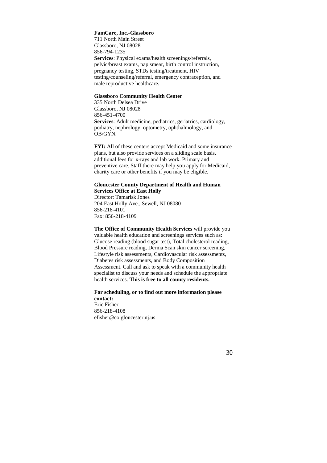## **FamCare, Inc.-Glassboro**

711 North Main Street Glassboro, NJ 08028 856-794-1235 **Services**: Physical exams/health screenings/referrals, pelvic/breast exams, pap smear, birth control instruction, pregnancy testing, STDs testing/treatment, HIV testing/counseling/referral, emergency contraception, and male reproductive healthcare.

## **Glassboro Community Health Center**

335 North Delsea Drive Glassboro, NJ 08028 856-451-4700 **Services**: Adult medicine, pediatrics, geriatrics, cardiology, podiatry, nephrology, optometry, ophthalmology, and OB/GYN.

**FYI:** All of these centers accept Medicaid and some insurance plans, but also provide services on a sliding scale basis, additional fees for x-rays and lab work. Primary and preventive care. Staff there may help you apply for Medicaid, charity care or other benefits if you may be eligible.

#### **Gloucester County Department of Health and Human Services Office at East Holly**

Director: Tamarisk Jones 204 East Holly Ave., Sewell, NJ 08080 856-218-4101 Fax: 856-218-4109

**The Office of Community Health Services** will provide you valuable health education and screenings services such as: Glucose reading (blood sugar test), Total cholesterol reading, Blood Pressure reading, Derma Scan skin cancer screening, Lifestyle risk assessments, Cardiovascular risk assessments, Diabetes risk assessments, and Body Composition Assessment. Call and ask to speak with a community health specialist to discuss your needs and schedule the appropriate health services. **This is free to all county residents.** 

**For scheduling, or to find out more information please contact:**  Eric Fisher 856-218-4108 efisher@co.gloucester.nj.us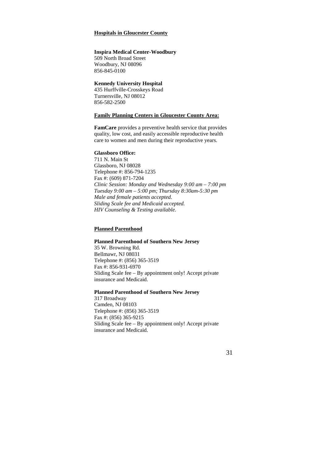## **Hospitals in Gloucester County**

#### **Inspira Medical Center-Woodbury**

509 North Broad Street Woodbury, NJ 08096 856-845-0100

## **Kennedy University Hospital**

435 Hurffville-Crosskeys Road Turnersville, NJ 08012 856-582-2500

#### **Family Planning Centers in Gloucester County Area:**

**FamCare** provides a preventive health service that provides quality, low cost, and easily accessible reproductive health care to women and men during their reproductive years.

## **Glassboro Office:**

711 N. Main St Glassboro, NJ 08028 Telephone #: 856-794-1235 Fax #: (609) 871-7204 *Clinic Session: Monday and Wednesday 9:00 am – 7:00 pm Tuesday 9:00 am – 5:00 pm; Thursday 8:30am-5:30 pm Male and female patients accepted. Sliding Scale fee and Medicaid accepted. HIV Counseling & Testing available.* 

## **Planned Parenthood**

#### **Planned Parenthood of Southern New Jersey**

35 W. Browning Rd. Bellmawr, NJ 08031 Telephone #: (856) 365-3519 Fax #: 856-931-6970 Sliding Scale fee – By appointment only! Accept private insurance and Medicaid.

## **Planned Parenthood of Southern New Jersey**

317 Broadway Camden, NJ 08103 Telephone #: (856) 365-3519 Fax #: (856) 365-9215 Sliding Scale fee – By appointment only! Accept private insurance and Medicaid.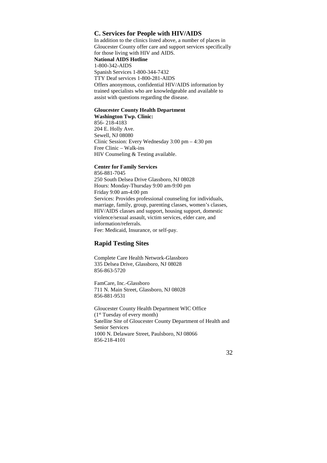## **C. Services for People with HIV/AIDS**

In addition to the clinics listed above, a number of places in Gloucester County offer care and support services specifically for those living with HIV and AIDS. **National AIDS Hotline**  1-800-342-AIDS Spanish Services 1-800-344-7432 TTY Deaf services 1-800-281-AIDS Offers anonymous, confidential HIV/AIDS information by trained specialists who are knowledgeable and available to assist with questions regarding the disease.

## **Gloucester County Health Department**

**Washington Twp. Clinic:**  856- 218-4183 204 E. Holly Ave. Sewell, NJ 08080 Clinic Session: Every Wednesday 3:00 pm – 4:30 pm Free Clinic – Walk-ins HIV Counseling & Testing available.

## **Center for Family Services**

856-881-7045 250 South Delsea Drive Glassboro, NJ 08028 Hours: Monday-Thursday 9:00 am-9:00 pm Friday 9:00 am-4:00 pm Services: Provides professional counseling for individuals, marriage, family, group, parenting classes, women's classes, HIV/AIDS classes and support, housing support, domestic violence/sexual assault, victim services, elder care, and information/referrals. Fee: Medicaid, Insurance, or self-pay.

## **Rapid Testing Sites**

Complete Care Health Network-Glassboro 335 Delsea Drive, Glassboro, NJ 08028 856-863-5720

FamCare, Inc.-Glassboro 711 N. Main Street, Glassboro, NJ 08028 856-881-9531

Gloucester County Health Department WIC Office (1st Tuesday of every month) Satellite Site of Gloucester County Department of Health and Senior Services 1000 N. Delaware Street, Paulsboro, NJ 08066 856-218-4101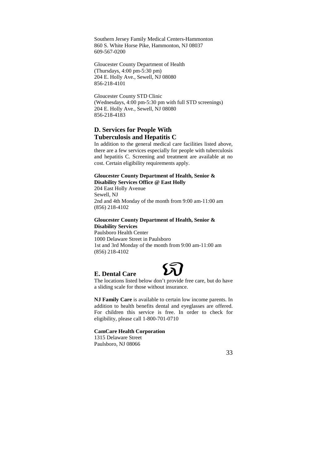Southern Jersey Family Medical Centers-Hammonton 860 S. White Horse Pike, Hammonton, NJ 08037 609-567-0200

Gloucester County Department of Health (Thursdays, 4:00 pm-5:30 pm) 204 E. Holly Ave., Sewell, NJ 08080 856-218-4101

Gloucester County STD Clinic (Wednesdays, 4:00 pm-5:30 pm with full STD screenings) 204 E. Holly Ave., Sewell, NJ 08080 856-218-4183

## **D. Services for People With Tuberculosis and Hepatitis C**

In addition to the general medical care facilities listed above, there are a few services especially for people with tuberculosis and hepatitis C. Screening and treatment are available at no cost. Certain eligibility requirements apply.

## **Gloucester County Department of Health, Senior & Disability Services Office @ East Holly**

204 East Holly Avenue Sewell, NJ 2nd and 4th Monday of the month from 9:00 am-11:00 am (856) 218-4102

## **Gloucester County Department of Health, Senior & Disability Services**

Paulsboro Health Center 1000 Delaware Street in Paulsboro 1st and 3rd Monday of the month from 9:00 am-11:00 am (856) 218-4102



## **E. Dental Care**

The locations listed below don't provide free care, but do have a sliding scale for those without insurance.

**NJ Family Care** is available to certain low income parents. In addition to health benefits dental and eyeglasses are offered. For children this service is free. In order to check for eligibility, please call 1-800-701-0710

## **CamCare Health Corporation**

1315 Delaware Street Paulsboro, NJ 08066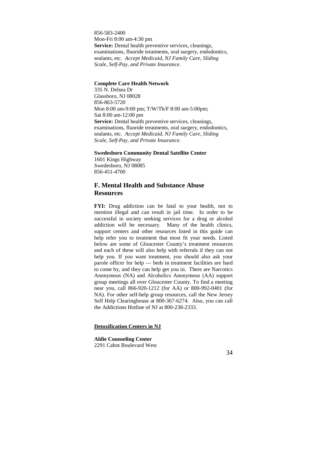856-583-2400 Mon-Fri 8:00 am-4:30 pm **Service:** Dental health preventive services, cleanings, examinations, fluoride treatments, oral surgery, endodontics, sealants, etc. *Accept Medicaid, NJ Family Care, Sliding Scale, Self-Pay, and Private Insurance.* 

## **Complete Care Health Network**

335 N. Delsea Dr Glassboro, NJ 08028 856-863-5720 Mon 8:00 am-9:00 pm; T/W/Th/F 8:00 am-5:00pm; Sat 8:00 am-12:00 pm Service: Dental health preventive services, cleanings, examinations, fluoride treatments, oral surgery, endodontics, sealants, etc. *Accept Medicaid, NJ Family Care, Sliding Scale, Self-Pay, and Private Insurance.*

## **Swedesboro Community Dental Satellite Center**

1601 Kings Highway Swedesboro, NJ 08085 856-451-4700

## **F. Mental Health and Substance Abuse Resources**

FYI: Drug addiction can be fatal to your health, not to mention illegal and can result in jail time. In order to be successful in society seeking services for a drug or alcohol addiction will be necessary. Many of the health clinics, support centers and other resources listed in this guide can help refer you to treatment that most fit your needs. Listed below are some of Gloucester County's treatment resources and each of these will also help with referrals if they can not help you. If you want treatment, you should also ask your parole officer for help — beds in treatment facilities are hard to come by, and they can help get you in. There are Narcotics Anonymous (NA) and Alcoholics Anonymous (AA) support group meetings all over Gloucester County. To find a meeting near you, call 866-920-1212 (for AA) or 800-992-0401 (for NA). For other self-help group resources, call the New Jersey Self Help Clearinghouse at 800-367-6274. Also, you can call the Addictions Hotline of NJ at 800-238-2333.

### **Detoxification Centers in NJ**

**Aldie Counseling Center**  2291 Cabot Boulevard West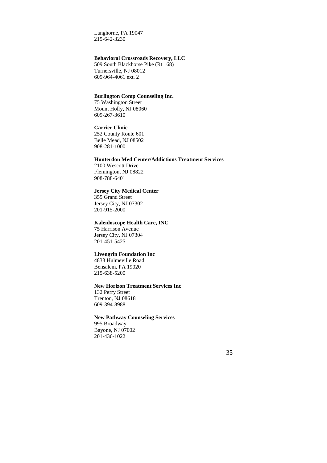Langhorne, PA 19047 215-642-3230

## **Behavioral Crossroads Recovery, LLC**

509 South Blackhorse Pike (Rt 168) Turnersville, NJ 08012 609-964-4061 ext. 2

## **Burlington Comp Counseling Inc.**

75 Washington Street Mount Holly, NJ 08060 609-267-3610

#### **Carrier Clinic**

252 County Route 601 Belle Mead, NJ 08502 908-281-1000

## **Hunterdon Med Center/Addictions Treatment Services**

2100 Wescott Drive Flemington, NJ 08822 908-788-6401

## **Jersey City Medical Center**

355 Grand Street Jersey City, NJ 07302 201-915-2000

## **Kaleidoscope Health Care, INC**

75 Harrison Avenue Jersey City, NJ 07304 201-451-5425

#### **Livengrin Foundation Inc**

4833 Hulmeville Road Bensalem, PA 19020 215-638-5200

## **New Horizon Treatment Services Inc**

132 Perry Street Trenton, NJ 08618 609-394-8988

## **New Pathway Counseling Services**

995 Broadway Bayone, NJ 07002 201-436-1022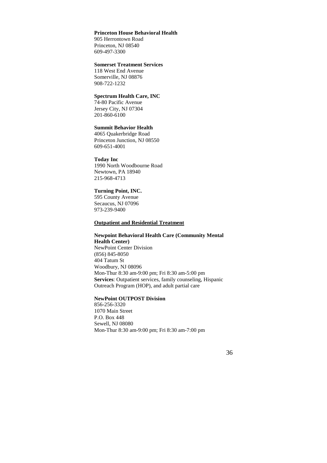## **Princeton House Behavioral Health**

905 Herrontown Road Princeton, NJ 08540 609-497-3300

## **Somerset Treatment Services**

118 West End Avenue Somerville, NJ 08876 908-722-1232

## **Spectrum Health Care, INC**

74-80 Pacific Avenue Jersey City, NJ 07304 201-860-6100

#### **Summit Behavior Health**

4065 Quakerbridge Road Princeton Junction, NJ 08550 609-651-4001

## **Today Inc**

1990 North Woodbourne Road Newtown, PA 18940 215-968-4713

## **Turning Point, INC.**

595 County Avenue Secaucus, NJ 07096 973-239-9400

## **Outpatient and Residential Treatment**

## **Newpoint Behavioral Health Care (Community Mental Health Center)**  NewPoint Center Division (856) 845-8050 404 Tatum St Woodbury, NJ 08096 Mon-Thur 8:30 am-9:00 pm; Fri 8:30 am-5:00 pm **Services**: Outpatient services, family counseling, Hispanic Outreach Program (HOP), and adult partial care

## **NewPoint OUTPOST Division**

856-256-3320 1070 Main Street P.O. Box 448 Sewell, NJ 08080 Mon-Thur 8:30 am-9:00 pm; Fri 8:30 am-7:00 pm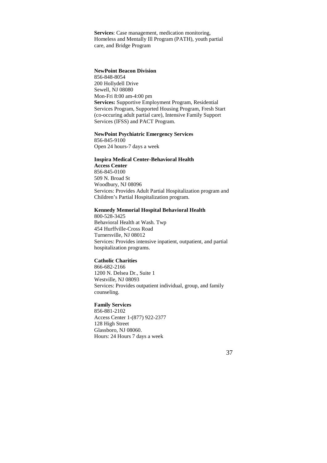**Services**: Case management, medication monitoring, Homeless and Mentally Ill Program (PATH), youth partial care, and Bridge Program

## **NewPoint Beacon Division**

856-848-8054 200 Hollydell Drive Sewell, NJ 08080 Mon-Fri 8:00 am-4:00 pm **Services:** Supportive Employment Program, Residential Services Program, Supported Housing Program, Fresh Start (co-occuring adult partial care), Intensive Family Support Services (IFSS) and PACT Program.

## **NewPoint Psychiatric Emergency Services**

856-845-9100 Open 24 hours-7 days a week

## **Inspira Medical Center-Behavioral Health**

**Access Center**  856-845-0100 509 N. Broad St Woodbury, NJ 08096 Services: Provides Adult Partial Hospitalization program and Children's Partial Hospitalization program.

## **Kennedy Memorial Hospital Behavioral Health**

800-528-3425 Behavioral Health at Wash. Twp 454 Hurffville-Cross Road Turnersville, NJ 08012 Services: Provides intensive inpatient, outpatient, and partial hospitalization programs.

## **Catholic Charities**

866-682-2166 1200 N. Delsea Dr., Suite 1 Westville, NJ 08093 Services: Provides outpatient individual, group, and family counseling.

## **Family Services**

856-881-2102 Access Center 1-(877) 922-2377 128 High Street Glassboro, NJ 08060. Hours: 24 Hours 7 days a week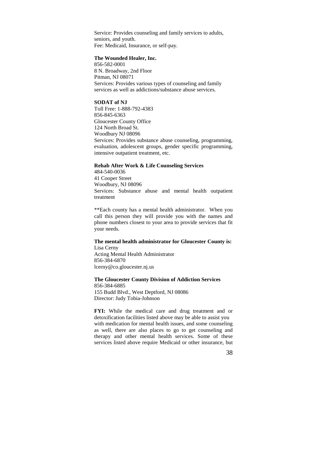Service: Provides counseling and family services to adults, seniors, and youth. Fee: Medicaid, Insurance, or self-pay.

#### **The Wounded Healer, Inc.**

856-582-0001 8 N. Broadway, 2nd Floor Pitman, NJ 08071 Services: Provides various types of counseling and family services as well as addictions/substance abuse services.

## **SODAT of NJ**

Toll Free: 1-888-792-4383 856-845-6363 Gloucester County Office 124 North Broad St. Woodbury NJ 08096 Services: Provides substance abuse counseling, programming, evaluation, adolescent groups, gender specific programming, intensive outpatient treatment, etc.

## **Rehab After Work & Life Counseling Services**

484-540-0036 41 Cooper Street Woodbury, NJ 08096 Services: Substance abuse and mental health outpatient treatment

\*\*Each county has a mental health administrator. When you call this person they will provide you with the names and phone numbers closest to your area to provide services that fit your needs.

## **The mental health administrator for Gloucester County is:**  Lisa Cerny

Acting Mental Health Administrator 856-384-6870 lcerny@co.gloucester.nj.us

## **The Gloucester County Division of Addiction Services**

856-384-6885 155 Budd Blvd., West Deptford, NJ 08086 Director: Judy Tobia-Johnson

FYI: While the medical care and drug treatment and or detoxification facilities listed above may be able to assist you with medication for mental health issues, and some counseling as well, there are also places to go to get counseling and therapy and other mental health services. Some of these services listed above require Medicaid or other insurance, but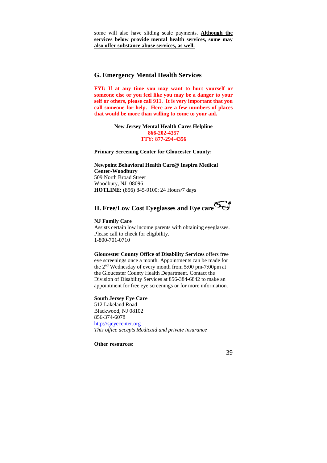some will also have sliding scale payments. **Although the services below provide mental health services, some may also offer substance abuse services, as well.**

## **G. Emergency Mental Health Services**

**FYI: If at any time you may want to hurt yourself or someone else or you feel like you may be a danger to your self or others, please call 911. It is very important that you call someone for help. Here are a few numbers of places that would be more than willing to come to your aid.**

> **New Jersey Mental Health Cares Helpline 866-202-4357 TTY: 877-294-4356**

**Primary Screening Center for Gloucester County:** 

**Newpoint Behavioral Health Care@ Inspira Medical Center-Woodbury**  509 North Broad Street Woodbury, NJ 08096 **HOTLINE:** (856) 845-9100; 24 Hours/7 days

# **H. Free/Low Cost Eyeglasses and Eye care**

## **NJ Family Care**

Assists certain low income parents with obtaining eyeglasses. Please call to check for eligibility. 1-800-701-0710

**Gloucester County Office of Disability Services** offers free eye screenings once a month. Appointments can be made for the 2nd Wednesday of every month from 5:00 pm-7:00pm at the Gloucester County Health Department. Contact the Division of Disability Services at 856-384-6842 to make an appointment for free eye screenings or for more information.

## **South Jersey Eye Care**

512 Lakeland Road Blackwood, NJ 08102 856-374-6078 http://sjeyecenter.org *This office accepts Medicaid and private insurance* 

**Other resources:**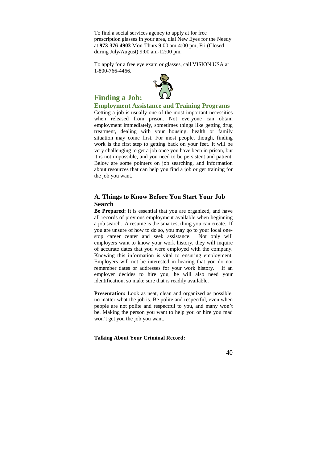To find a social services agency to apply at for free prescription glasses in your area, dial New Eyes for the Needy at **973-376-4903** Mon-Thurs 9:00 am-4:00 pm; Fri (Closed during July/August) 9:00 am-12:00 pm.

To apply for a free eye exam or glasses, call VISION USA at 1-800-766-4466.



## **Finding a Job:**

**Employment Assistance and Training Programs**  Getting a job is usually one of the most important necessities when released from prison. Not everyone can obtain employment immediately, sometimes things like getting drug treatment, dealing with your housing, health or family situation may come first. For most people, though, finding work is the first step to getting back on your feet. It will be very challenging to get a job once you have been in prison, but it is not impossible, and you need to be persistent and patient. Below are some pointers on job searching, and information about resources that can help you find a job or get training for the job you want.

## **A. Things to Know Before You Start Your Job Search**

**Be Prepared:** It is essential that you are organized, and have all records of previous employment available when beginning a job search. A resume is the smartest thing you can create. If you are unsure of how to do so, you may go to your local onestop career center and seek assistance. Not only will employers want to know your work history, they will inquire of accurate dates that you were employed with the company. Knowing this information is vital to ensuring employment. Employers will not be interested in hearing that you do not remember dates or addresses for your work history. If an employer decides to hire you, he will also need your identification, so make sure that is readily available.

**Presentation:** Look as neat, clean and organized as possible, no matter what the job is. Be polite and respectful, even when people are not polite and respectful to you, and many won't be. Making the person you want to help you or hire you mad won't get you the job you want.

**Talking About Your Criminal Record:**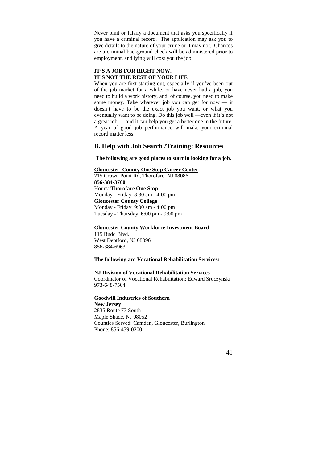Never omit or falsify a document that asks you specifically if you have a criminal record. The application may ask you to give details to the nature of your crime or it may not. Chances are a criminal background check will be administered prior to employment, and lying will cost you the job.

## **IT'S A JOB FOR RIGHT NOW, IT'S NOT THE REST OF YOUR LIFE**

When you are first starting out, especially if you've been out of the job market for a while, or have never had a job, you need to build a work history, and, of course, you need to make some money. Take whatever job you can get for now — it doesn't have to be the exact job you want, or what you eventually want to be doing. Do this job well —even if it's not a great job — and it can help you get a better one in the future. A year of good job performance will make your criminal record matter less.

## **B. Help with Job Search /Training: Resources**

#### **The following are good places to start in looking for a job.**

## **Gloucester County One Stop Career Center**

215 Crown Point Rd, Thorofare, NJ 08086 **856-384-3700** Hours: **Thorofare One Stop** Monday - Friday 8:30 am - 4:00 pm **Gloucester County College** Monday - Friday 9:00 am - 4:00 pm Tuesday - Thursday 6:00 pm - 9:00 pm

#### **Gloucester County Workforce Investment Board**

115 Budd Blvd. West Deptford, NJ 08096 856-384-6963

#### **The following are Vocational Rehabilitation Services:**

#### **NJ Division of Vocational Rehabilitation Services**

Coordinator of Vocational Rehabilitation: Edward Sroczynski 973-648-7504

## **Goodwill Industries of Southern**

**New Jersey** 2835 Route 73 South Maple Shade, NJ 08052 Counties Served: Camden, Gloucester, Burlington Phone: 856-439-0200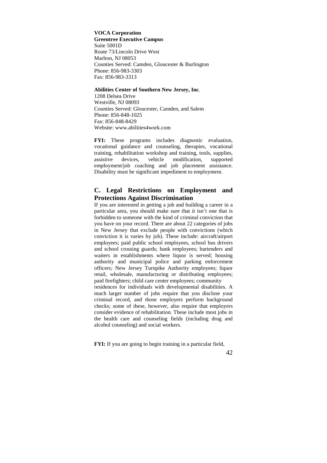**VOCA Corporation Greentree Executive Campus** Suite 5001D Route 73/Lincoln Drive West Marlton, NJ 08053 Counties Served: Camden, Gloucester & Burlington Phone: 856-983-3303 Fax: 856-983-3313

## **Abilities Center of Southern New Jersey, Inc**.

1208 Delsea Drive Westville, NJ 08093 Counties Served: Gloucester, Camden, and Salem Phone: 856-848-1025 Fax: 856-848-8429 Website: www.abilities4work.com

**FYI:** These programs includes diagnostic evaluation, vocational guidance and counseling, therapies, vocational training, rehabilitation workshop and training, tools, supplies, assistive devices, vehicle modification, supported employment/job coaching and job placement assistance. Disability must be significant impediment to employment.

## **C. Legal Restrictions on Employment and Protections Against Discrimination**

If you are interested in getting a job and building a career in a particular area, you should make sure that it isn't one that is forbidden to someone with the kind of criminal conviction that you have on your record. There are about 22 categories of jobs in New Jersey that exclude people with convictions (which conviction it is varies by job). These include: aircraft/airport employees; paid public school employees, school bus drivers and school crossing guards; bank employees; bartenders and waiters in establishments where liquor is served; housing authority and municipal police and parking enforcement officers; New Jersey Turnpike Authority employees; liquor retail, wholesale, manufacturing or distributing employees; paid firefighters; child care center employees; community residences for individuals with developmental disabilities. A much larger number of jobs require that you disclose your criminal record, and those employers perform background checks; some of these, however, also require that employers consider evidence of rehabilitation. These include most jobs in the health care and counseling fields (including drug and

**FYI:** If you are going to begin training in a particular field,

alcohol counseling) and social workers.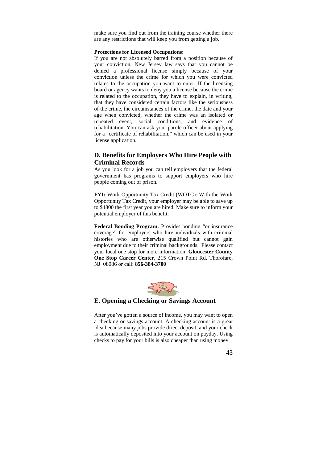make sure you find out from the training course whether there are any restrictions that will keep you from getting a job.

#### **Protections for Licensed Occupations:**

If you are not absolutely barred from a position because of your conviction, New Jersey law says that you cannot be denied a professional license simply because of your conviction unless the crime for which you were convicted relates to the occupation you want to enter. If the licensing board or agency wants to deny you a license because the crime is related to the occupation, they have to explain, in writing, that they have considered certain factors like the seriousness of the crime, the circumstances of the crime, the date and your age when convicted, whether the crime was an isolated or repeated event, social conditions, and evidence of rehabilitation. You can ask your parole officer about applying for a "certificate of rehabilitation," which can be used in your license application.

## **D. Benefits for Employers Who Hire People with Criminal Records**

As you look for a job you can tell employers that the federal government has programs to support employers who hire people coming out of prison.

**FYI:** Work Opportunity Tax Credit (WOTC): With the Work Opportunity Tax Credit, your employer may be able to save up to \$4800 the first year you are hired. Make sure to inform your potential employer of this benefit.

**Federal Bonding Program:** Provides bonding "or insurance coverage" for employers who hire individuals with criminal histories who are otherwise qualified but cannot gain employment due to their criminal backgrounds. Please contact your local one stop for more information: **Gloucester County One Stop Career Center,** 215 Crown Point Rd, Thorofare, NJ 08086 or call: **856-384-3700**



## **E. Opening a Checking or Savings Account**

After you've gotten a source of income, you may want to open a checking or savings account. A checking account is a great idea because many jobs provide direct deposit, and your check is automatically deposited into your account on payday. Using checks to pay for your bills is also cheaper than using money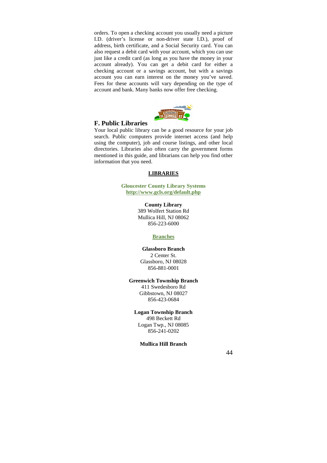orders. To open a checking account you usually need a picture I.D. (driver's license or non-driver state I.D.), proof of address, birth certificate, and a Social Security card. You can also request a debit card with your account, which you can use just like a credit card (as long as you have the money in your account already). You can get a debit card for either a checking account or a savings account, but with a savings account you can earn interest on the money you've saved. Fees for these accounts will vary depending on the type of account and bank. Many banks now offer free checking.



## **F. Public Libraries**

Your local public library can be a good resource for your job search. Public computers provide internet access (and help using the computer), job and course listings, and other local directories. Libraries also often carry the government forms mentioned in this guide, and librarians can help you find other information that you need.

## **LIBRARIES**

## **Gloucester County Library Systems http://www.gcls.org/default.php**

**County Library**  389 Wolfert Station Rd Mullica Hill, NJ 08062 856-223-6000

#### **Branches**

## **Glassboro Branch**  2 Center St. Glassboro, NJ 08028 856-881-0001

## **Greenwich Township Branch**

411 Swedesboro Rd Gibbstown, NJ 08027 856-423-0684

## **Logan Township Branch**

498 Beckett Rd Logan Twp., NJ 08085 856-241-0202

**Mullica Hill Branch**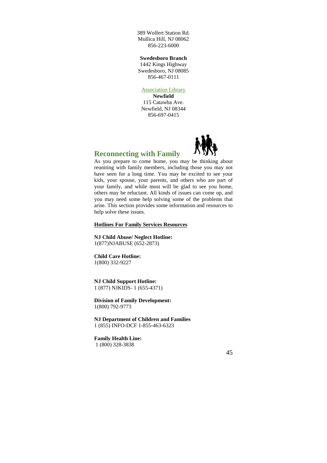389 Wolfert Station Rd. Mullica Hill, NJ 08062 856-223-6000

**Swedesboro Branch** 

1442 Kings Highway Swedesboro, NJ 08085 856-467-0111

## Association Library

**Newfield**  115 Catawba Ave. Newfield, NJ 08344 856-697-0415



## **Reconnecting with Family**

As you prepare to come home, you may be thinking about reuniting with family members, including those you may not have seen for a long time. You may be excited to see your kids, your spouse, your parents, and others who are part of your family, and while most will be glad to see you home, others may be reluctant. All kinds of issues can come up, and you may need some help solving some of the problems that arise. This section provides some information and resources to help solve these issues.

#### **Hotlines For Family Services Resources**

**NJ Child Abuse/ Neglect Hotline:**  1(877)NJABUSE (652-2873)

## **Child Care Hotline:**

1(800) 332-9227

**NJ Child Support Hotline:**  1 (877) NJKIDS- 1 (655-4371)

**Division of Family Development:**  1(800) 792-9773

**NJ Department of Children and Families**  1 (855) INFO-DCF 1-855-463-6323

**Family Health Line:**  1 (800) 328-3838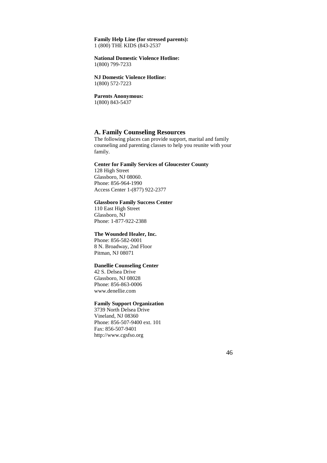## **Family Help Line (for stressed parents):**  1 (800) THE KIDS (843-2537

#### **National Domestic Violence Hotline:**  1(800) 799-7233

**NJ Domestic Violence Hotline:**  1(800) 572-7223

**Parents Anonymous:**  1(800) 843-5437

## **A. Family Counseling Resources**

The following places can provide support, marital and family counseling and parenting classes to help you reunite with your family.

## **Center for Family Services of Gloucester County**

128 High Street Glassboro, NJ 08060. Phone: 856-964-1990 Access Center 1-(877) 922-2377

## **Glassboro Family Success Center**

110 East High Street Glassboro, NJ Phone: 1-877-922-2388

#### **The Wounded Healer, Inc.**

Phone: 856-582-0001 8 N. Broadway, 2nd Floor Pitman, NJ 08071

## **Danellie Counseling Center**

42 S. Delsea Drive Glassboro, NJ 08028 Phone: 856-863-0006 www.denellie.com

## **Family Support Organization**

3739 North Delsea Drive Vineland, NJ 08360 Phone: 856-507-9400 ext. 101 Fax: 856-507-9401 http://www.cgsfso.org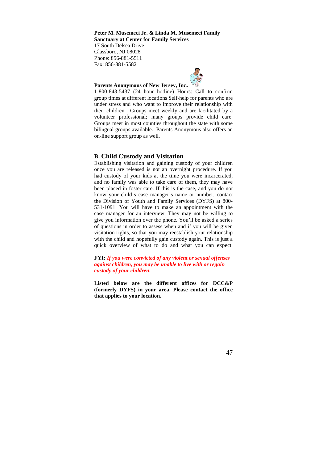**Peter M. Musemeci Jr. & Linda M. Musemeci Family Sanctuary at Center for Family Services** 

17 South Delsea Drive Glassboro, NJ 08028 Phone: 856-881-5511 Fax: 856-881-5582



## **Parents Anonymous of New Jersey, Inc.**

1-800-843-5437 (24 hour hotline) Hours: Call to confirm group times at different locations Self-help for parents who are under stress and who want to improve their relationship with their children. Groups meet weekly and are facilitated by a volunteer professional; many groups provide child care. Groups meet in most counties throughout the state with some bilingual groups available. Parents Anonymous also offers an on-line support group as well.

## **B. Child Custody and Visitation**

Establishing visitation and gaining custody of your children once you are released is not an overnight procedure. If you had custody of your kids at the time you were incarcerated, and no family was able to take care of them, they may have been placed in foster care. If this is the case, and you do not know your child's case manager's name or number, contact the Division of Youth and Family Services (DYFS) at 800- 531-1091. You will have to make an appointment with the case manager for an interview. They may not be willing to give you information over the phone. You'll be asked a series of questions in order to assess when and if you will be given visitation rights, so that you may reestablish your relationship with the child and hopefully gain custody again. This is just a quick overview of what to do and what you can expect.

**FYI:** *If you were convicted of any violent or sexual offenses against children, you may be unable to live with or regain custody of your children***.**

**Listed below are the different offices for DCC&P (formerly DYFS) in your area. Please contact the office that applies to your location.**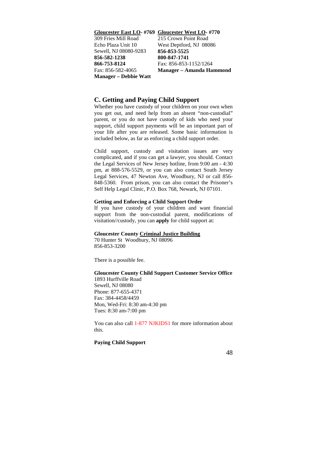**Gloucester East LO- #769 Gloucester West LO- #770** 309 Fries Mill Road Echo Plaza Unit 10 Sewell, NJ 08080-9283 **856-582-1238 866-753-8124** Fax: 856-582-4065 **Manager – Debbie Watt** 215 Crown Point Road West Deptford, NJ 08086 **856-853-5525 800-847-1741** Fax: 856-853-1152/1264 **Manager – Amanda Hammond**

## **C. Getting and Paying Child Support**

Whether you have custody of your children on your own when you get out, and need help from an absent "non-custodial" parent, or you do not have custody of kids who need your support, child support payments will be an important part of your life after you are released. Some basic information is included below, as far as enforcing a child support order.

Child support, custody and visitation issues are very complicated, and if you can get a lawyer, you should. Contact the Legal Services of New Jersey hotline, from 9:00 am - 4:30 pm, at 888-576-5529, or you can also contact South Jersey Legal Services, 47 Newton Ave, Woodbury, NJ or call 856- 848-5360. From prison, you can also contact the Prisoner's Self Help Legal Clinic, P.O. Box 768, Newark, NJ 07101.

## **Getting and Enforcing a Child Support Order**

If you have custody of your children and want financial support from the non-custodial parent, modifications of visitation//custody, you can **apply** for child support at:

#### **Gloucester County Criminal Justice Building**

70 Hunter St Woodbury, NJ 08096 856-853-3200

There is a possible fee.

## **Gloucester County Child Support Customer Service Office**

1893 Hurffville Road Sewell, NJ 08080 Phone: 877-655-4371 Fax: 384-4458/4459 Mon, Wed-Fri: 8:30 am-4:30 pm Tues: 8:30 am-7:00 pm

You can also call 1-877 NJKIDS1 for more information about this.

## **Paying Child Support**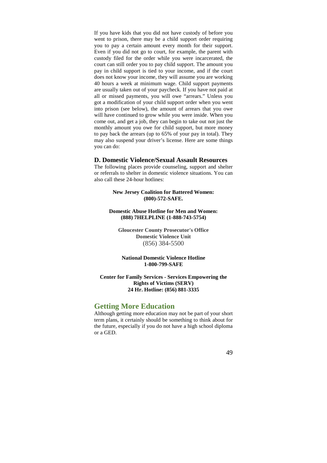If you have kids that you did not have custody of before you went to prison, there may be a child support order requiring you to pay a certain amount every month for their support. Even if you did not go to court, for example, the parent with custody filed for the order while you were incarcerated, the court can still order you to pay child support. The amount you pay in child support is tied to your income, and if the court does not know your income, they will assume you are working 40 hours a week at minimum wage. Child support payments are usually taken out of your paycheck. If you have not paid at all or missed payments, you will owe "arrears." Unless you got a modification of your child support order when you went into prison (see below), the amount of arrears that you owe will have continued to grow while you were inside. When you come out, and get a job, they can begin to take out not just the monthly amount you owe for child support, but more money to pay back the arrears (up to 65% of your pay in total). They may also suspend your driver's license. Here are some things you can do:

## **D. Domestic Violence/Sexual Assault Resources**

The following places provide counseling, support and shelter or referrals to shelter in domestic violence situations. You can also call these 24-hour hotlines:

## **New Jersey Coalition for Battered Women: (800)-572-SAFE.**

#### **Domestic Abuse Hotline for Men and Women: (888) 7HELPLINE (1-888-743-5754)**

**Gloucester County Prosecutor's Office Domestic Violence Unit**  (856) 384-5500

**National Domestic Violence Hotline 1-800-799-SAFE** 

## **Center for Family Services - Services Empowering the Rights of Victims (SERV) 24 Hr. Hotline: (856) 881-3335**

## **Getting More Education**

Although getting more education may not be part of your short term plans, it certainly should be something to think about for the future, especially if you do not have a high school diploma or a GED.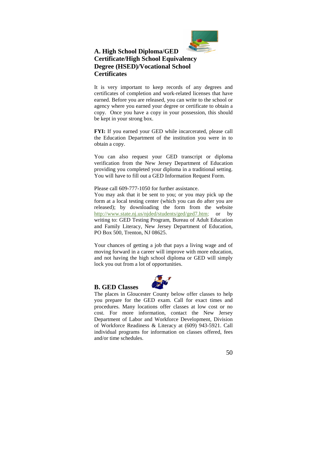

## **A. High School Diploma/GED Certificate/High School Equivalency Degree (HSED)/Vocational School Certificates**

It is very important to keep records of any degrees and certificates of completion and work-related licenses that have earned. Before you are released, you can write to the school or agency where you earned your degree or certificate to obtain a copy. Once you have a copy in your possession, this should be kept in your strong box.

**FYI:** If you earned your GED while incarcerated, please call the Education Department of the institution you were in to obtain a copy.

You can also request your GED transcript or diploma verification from the New Jersey Department of Education providing you completed your diploma in a traditional setting. You will have to fill out a GED Information Request Form.

Please call 609-777-1050 for further assistance.

You may ask that it be sent to you; or you may pick up the form at a local testing center (which you can do after you are released); by downloading the form from the website http://www.state.nj.us/njded/students/ged/ged7.htm; or by writing to: GED Testing Program, Bureau of Adult Education and Family Literacy, New Jersey Department of Education, PO Box 500, Trenton, NJ 08625.

Your chances of getting a job that pays a living wage and of moving forward in a career will improve with more education, and not having the high school diploma or GED will simply lock you out from a lot of opportunities.

## **B. GED Classes**



The places in Gloucester County below offer classes to help you prepare for the GED exam. Call for exact times and procedures. Many locations offer classes at low cost or no cost. For more information, contact the New Jersey Department of Labor and Workforce Development, Division of Workforce Readiness & Literacy at (609) 943-5921. Call individual programs for information on classes offered, fees and/or time schedules.

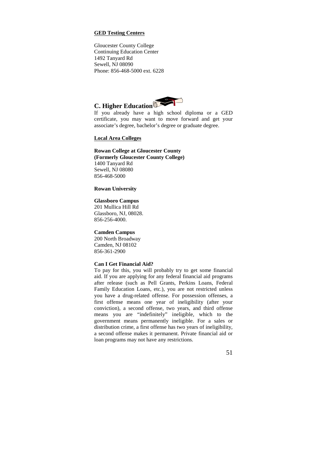## **GED Testing Centers**

Gloucester County College Continuing Education Center 1492 Tanyard Rd Sewell, NJ 08090 Phone: 856-468-5000 ext. 6228



If you already have a high school diploma or a GED certificate, you may want to move forward and get your associate's degree, bachelor's degree or graduate degree.

#### **Local Area Colleges**

## **Rowan College at Gloucester County (Formerly Gloucester County College)**

1400 Tanyard Rd Sewell, NJ 08080 856-468-5000

#### **Rowan University**

## **Glassboro Campus**

201 Mullica Hill Rd Glassboro, NJ, 08028. 856-256-4000.

## **Camden Campus**

200 North Broadway Camden, NJ 08102 856-361-2900

## **Can I Get Financial Aid?**

To pay for this, you will probably try to get some financial aid. If you are applying for any federal financial aid programs after release (such as Pell Grants, Perkins Loans, Federal Family Education Loans, etc.), you are not restricted unless you have a drug-related offense. For possession offenses, a first offense means one year of ineligibility (after your conviction), a second offense, two years, and third offense means you are "indefinitely" ineligible, which to the government means permanently ineligible. For a sales or distribution crime, a first offense has two years of ineligibility, a second offense makes it permanent. Private financial aid or loan programs may not have any restrictions.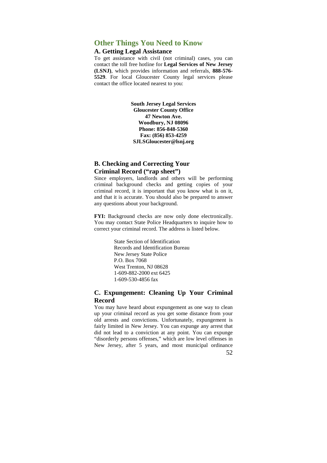## **Other Things You Need to Know**

## **A. Getting Legal Assistance**

To get assistance with civil (not criminal) cases, you can contact the toll free hotline for **Legal Services of New Jersey (LSNJ)**, which provides information and referrals, **888-576- 5529**. For local Gloucester County legal services please contact the office located nearest to you:

> **South Jersey Legal Services Gloucester County Office 47 Newton Ave. Woodbury, NJ 08096 Phone: 856-848-5360 Fax: (856) 853-4259 SJLSGloucester@lsnj.org**

## **B. Checking and Correcting Your Criminal Record ("rap sheet")**

Since employers, landlords and others will be performing criminal background checks and getting copies of your criminal record, it is important that you know what is on it, and that it is accurate. You should also be prepared to answer any questions about your background.

**FYI:** Background checks are now only done electronically. You may contact State Police Headquarters to inquire how to correct your criminal record. The address is listed below.

> State Section of Identification Records and Identification Bureau New Jersey State Police P.O. Box 7068 West Trenton, NJ 08628 1-609-882-2000 ext 6425 1-609-530-4856 fax

## **C. Expungement: Cleaning Up Your Criminal Record**

52 You may have heard about expungement as one way to clean up your criminal record as you get some distance from your old arrests and convictions. Unfortunately, expungement is fairly limited in New Jersey. You can expunge any arrest that did not lead to a conviction at any point. You can expunge "disorderly persons offenses," which are low level offenses in New Jersey, after 5 years, and most municipal ordinance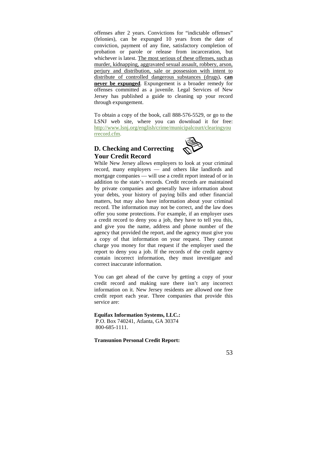offenses after 2 years. Convictions for "indictable offenses" (felonies), can be expunged 10 years from the date of conviction, payment of any fine, satisfactory completion of probation or parole or release from incarceration, but whichever is latest. The most serious of these offenses, such as murder, kidnapping, aggravated sexual assault, robbery, arson, perjury and distribution, sale or possession with intent to distribute of controlled dangerous substances (drugs), **can never be expunged**. Expungement is a broader remedy for offenses committed as a juvenile. Legal Services of New Jersey has published a guide to cleaning up your record through expungement.

To obtain a copy of the book, call 888-576-5529, or go to the LSNJ web site, where you can download it for free: http://www.lsnj.org/english/crime/municipalcourt/clearingyou rrecord.cfm.

## **D. Checking and Correcting Your Credit Record**



While New Jersey allows employers to look at your criminal record, many employers — and others like landlords and mortgage companies — will use a credit report instead of or in addition to the state's records. Credit records are maintained by private companies and generally have information about your debts, your history of paying bills and other financial matters, but may also have information about your criminal record. The information may not be correct, and the law does offer you some protections. For example, if an employer uses a credit record to deny you a job, they have to tell you this, and give you the name, address and phone number of the agency that provided the report, and the agency must give you a copy of that information on your request. They cannot charge you money for that request if the employer used the report to deny you a job. If the records of the credit agency contain incorrect information, they must investigate and correct inaccurate information.

You can get ahead of the curve by getting a copy of your credit record and making sure there isn't any incorrect information on it. New Jersey residents are allowed one free credit report each year. Three companies that provide this service are:

## **Equifax Information Systems, LLC.:**

 P.O. Box 740241, Atlanta, GA 30374 800-685-1111.

**Transunion Personal Credit Report:**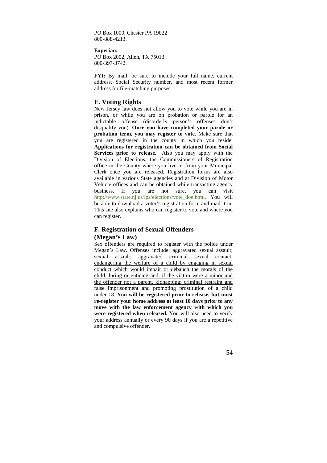PO Box 1000, Chester PA 19022 800-888-4213.

**Experian:**  PO Box 2002, Allen, TX 75013 800-397-3742.

**FYI:** By mail, be sure to include your full name, current address, Social Security number, and most recent former address for file-matching purposes.

## **E. Voting Rights**

New Jersey law does not allow you to vote while you are in prison, or while you are on probation or parole for an indictable offense (disorderly person's offenses don't disqualify you). **Once you have completed your parole or probation term, you may register to vote**. Make sure that you are registered in the county in which you reside. **Applications for registration can be obtained from Social Services prior to release**. Also you may apply with the Division of Elections, the Commissioners of Registration office in the County where you live or from your Municipal Clerk once you are released. Registration forms are also available in various State agencies and at Division of Motor Vehicle offices and can be obtained while transacting agency business. If you are not sure, you can visit http://www.state.nj.us/lps/elections/vote\_doe.html. You will be able to download a voter's registration form and mail it in. This site also explains who can register to vote and where you can register.

## **F. Registration of Sexual Offenders**

## **(Megan's Law)**

Sex offenders are required to register with the police under Megan's Law. Offenses include: aggravated sexual assault; sexual assault; aggravated criminal sexual contact; endangering the welfare of a child by engaging in sexual conduct which would impair or debauch the morals of the child; luring or enticing and, if the victim were a minor and the offender not a parent, kidnapping; criminal restraint and false imprisonment and promoting prostitution of a child under 18. **You will be registered prior to release, but must re-register your home address at least 10 days prior to any move with the law enforcement agency** w**ith which you were registered when released.** You will also need to verify your address annually or every 90 days if you are a repetitive and compulsive offender.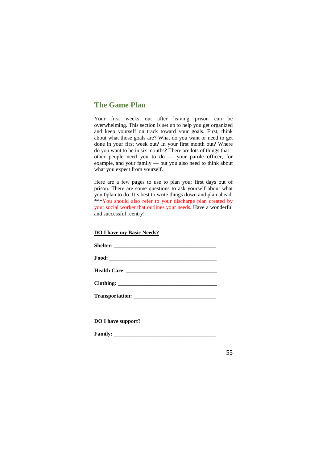## **The Game Plan**

Your first weeks out after leaving prison can be overwhelming. This section is set up to help you get organized and keep yourself on track toward your goals. First, think about what those goals are? What do you want or need to get done in your first week out? In your first month out? Where do you want to be in six months? There are lots of things that other people need you to do — your parole officer, for example, and your family — but you also need to think about what you expect from yourself.

Here are a few pages to use to plan your first days out of prison. There are some questions to ask yourself about what you 0plan to do. It's best to write things down and plan ahead. \*\*\*You should also refer to your discharge plan created by your social worker that outlines your needs. Have a wonderful and successful reentry!

## **DO I have my Basic Needs?**

**DO I have support?** 

 $\bf Family:$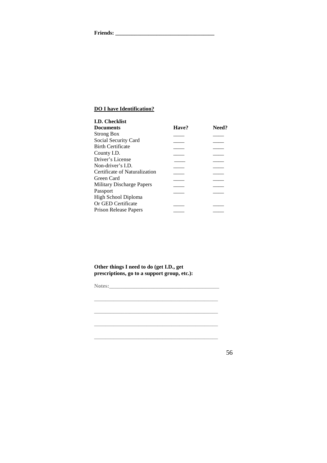**Friends: \_\_\_\_\_\_\_\_\_\_\_\_\_\_\_\_\_\_\_\_\_\_\_\_\_\_\_\_\_\_\_\_\_\_\_\_** 

## **DO I have Identification?**

| I.D. Checklist                |       |       |
|-------------------------------|-------|-------|
| Documents                     | Have? | Need? |
| Strong Box                    |       |       |
| Social Security Card          |       |       |
| <b>Birth Certificate</b>      |       |       |
| County I.D.                   |       |       |
| Driver's License              |       |       |
| Non-driver's I.D.             |       |       |
| Certificate of Naturalization |       |       |
| Green Card                    |       |       |
| Military Discharge Papers     |       |       |
| Passport                      |       |       |
| High School Diploma           |       |       |
| Or GED Certificate            |       |       |
| Prison Release Papers         |       |       |
|                               |       |       |

**Other things I need to do (get I.D., get prescriptions, go to a support group, etc.):** 

**Notes:\_\_\_\_\_\_\_\_\_\_\_\_\_\_\_\_\_\_\_\_\_\_\_\_\_\_\_\_\_\_\_\_\_\_\_\_\_\_\_\_ \_\_\_\_\_\_\_\_\_\_\_\_\_\_\_\_\_\_\_\_\_\_\_\_\_\_\_\_\_\_\_\_\_\_\_\_\_\_\_\_\_\_\_\_\_ \_\_\_\_\_\_\_\_\_\_\_\_\_\_\_\_\_\_\_\_\_\_\_\_\_\_\_\_\_\_\_\_\_\_\_\_\_\_\_\_\_\_\_\_\_**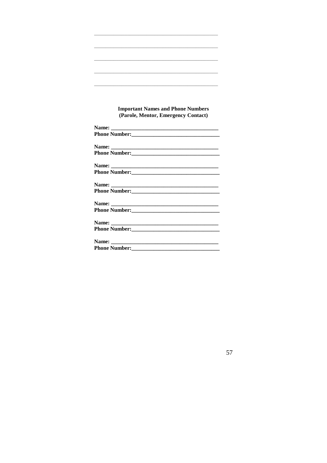## **Important Names and Phone Numbers** (Parole, Mentor, Emergency Contact)

| Phone Number:                                                                                                                                                                                                                 |  |
|-------------------------------------------------------------------------------------------------------------------------------------------------------------------------------------------------------------------------------|--|
|                                                                                                                                                                                                                               |  |
|                                                                                                                                                                                                                               |  |
|                                                                                                                                                                                                                               |  |
|                                                                                                                                                                                                                               |  |
|                                                                                                                                                                                                                               |  |
|                                                                                                                                                                                                                               |  |
| Phone Number: 2008 2010 12:00 12:00 12:00 12:00 12:00 12:00 12:00 12:00 12:00 12:00 12:00 12:00 12:00 12:00 12:00 12:00 12:00 12:00 12:00 12:00 12:00 12:00 12:00 12:00 12:00 12:00 12:00 12:00 12:00 12:00 12:00 12:00 12:00 |  |
|                                                                                                                                                                                                                               |  |
|                                                                                                                                                                                                                               |  |
|                                                                                                                                                                                                                               |  |
|                                                                                                                                                                                                                               |  |
|                                                                                                                                                                                                                               |  |
|                                                                                                                                                                                                                               |  |